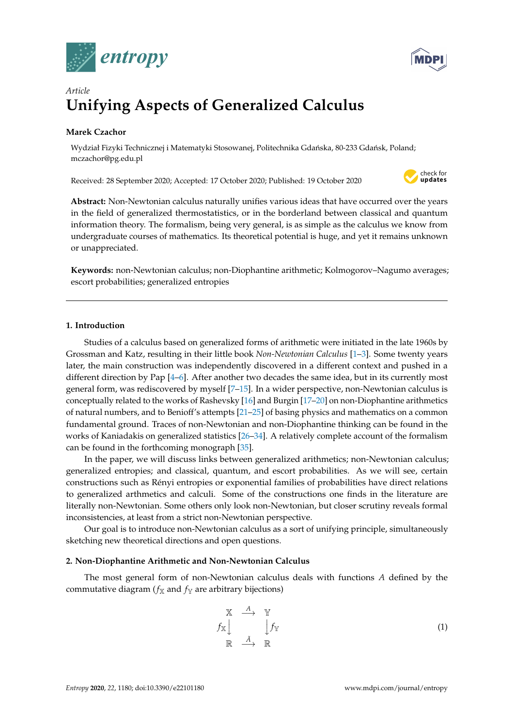



# *Article* **Unifying Aspects of Generalized Calculus**

# **Marek Czachor**

Wydział Fizyki Technicznej i Matematyki Stosowanej, Politechnika Gdańska, 80-233 Gdańsk, Poland; mczachor@pg.edu.pl

Received: 28 September 2020; Accepted: 17 October 2020; Published: 19 October 2020



**Abstract:** Non-Newtonian calculus naturally unifies various ideas that have occurred over the years in the field of generalized thermostatistics, or in the borderland between classical and quantum information theory. The formalism, being very general, is as simple as the calculus we know from undergraduate courses of mathematics. Its theoretical potential is huge, and yet it remains unknown or unappreciated.

**Keywords:** non-Newtonian calculus; non-Diophantine arithmetic; Kolmogorov–Nagumo averages; escort probabilities; generalized entropies

# **1. Introduction**

Studies of a calculus based on generalized forms of arithmetic were initiated in the late 1960s by Grossman and Katz, resulting in their little book *Non-Newtonian Calculus* [\[1–](#page-17-0)[3\]](#page-17-1). Some twenty years later, the main construction was independently discovered in a different context and pushed in a different direction by Pap [\[4–](#page-17-2)[6\]](#page-17-3). After another two decades the same idea, but in its currently most general form, was rediscovered by myself [\[7](#page-17-4)[–15\]](#page-17-5). In a wider perspective, non-Newtonian calculus is conceptually related to the works of Rashevsky [\[16\]](#page-17-6) and Burgin [\[17](#page-17-7)[–20\]](#page-17-8) on non-Diophantine arithmetics of natural numbers, and to Benioff's attempts [\[21](#page-17-9)[–25\]](#page-17-10) of basing physics and mathematics on a common fundamental ground. Traces of non-Newtonian and non-Diophantine thinking can be found in the works of Kaniadakis on generalized statistics [\[26](#page-17-11)[–34\]](#page-18-0). A relatively complete account of the formalism can be found in the forthcoming monograph [\[35\]](#page-18-1).

In the paper, we will discuss links between generalized arithmetics; non-Newtonian calculus; generalized entropies; and classical, quantum, and escort probabilities. As we will see, certain constructions such as Rényi entropies or exponential families of probabilities have direct relations to generalized arthmetics and calculi. Some of the constructions one finds in the literature are literally non-Newtonian. Some others only look non-Newtonian, but closer scrutiny reveals formal inconsistencies, at least from a strict non-Newtonian perspective.

Our goal is to introduce non-Newtonian calculus as a sort of unifying principle, simultaneously sketching new theoretical directions and open questions.

# **2. Non-Diophantine Arithmetic and Non-Newtonian Calculus**

The most general form of non-Newtonian calculus deals with functions *A* defined by the commutative diagram ( $f_{\text{X}}$  and  $f_{\text{Y}}$  are arbitrary bijections)

<span id="page-0-0"></span>
$$
\begin{array}{ccc}\nX & \xrightarrow{A} & Y \\
\uparrow X & & \downarrow f_Y \\
\mathbb{R} & \xrightarrow{\tilde{A}} & \mathbb{R}\n\end{array} \tag{1}
$$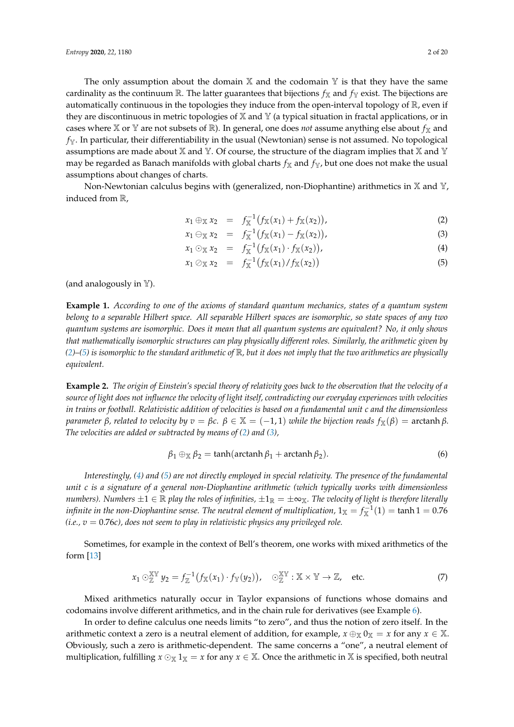The only assumption about the domain  $X$  and the codomain  $Y$  is that they have the same cardinality as the continuum R. The latter guarantees that bijections  $f_X$  and  $f_Y$  exist. The bijections are automatically continuous in the topologies they induce from the open-interval topology of  $\mathbb{R}$ , even if they are discontinuous in metric topologies of  $X$  and  $Y$  (a typical situation in fractal applications, or in cases where X or Y are not subsets of R). In general, one does *not* assume anything else about  $f_X$  and  $f_Y$ . In particular, their differentiability in the usual (Newtonian) sense is not assumed. No topological assumptions are made about X and Y. Of course, the structure of the diagram implies that X and Y may be regarded as Banach manifolds with global charts  $f_X$  and  $f_Y$ , but one does not make the usual assumptions about changes of charts.

Non-Newtonian calculus begins with (generalized, non-Diophantine) arithmetics in  $X$  and  $Y$ , induced from R,

<span id="page-1-0"></span>
$$
x_1 \oplus_{\mathbb{X}} x_2 = f_{\mathbb{X}}^{-1} (f_{\mathbb{X}}(x_1) + f_{\mathbb{X}}(x_2)), \tag{2}
$$

$$
x_1 \ominus_{\mathbb{X}} x_2 = f_{\mathbb{X}}^{-1} (f_{\mathbb{X}}(x_1) - f_{\mathbb{X}}(x_2)), \tag{3}
$$

$$
x_1 \odot_{\mathbb{X}} x_2 = f_{\mathbb{X}}^{-1} (f_{\mathbb{X}}(x_1) \cdot f_{\mathbb{X}}(x_2)), \tag{4}
$$

$$
x_1 \oslash x_2 = f_X^{-1}(f_X(x_1)/f_X(x_2)) \tag{5}
$$

(and analogously in  $\mathbb{Y}$ ).

**Example 1.** *According to one of the axioms of standard quantum mechanics, states of a quantum system belong to a separable Hilbert space. All separable Hilbert spaces are isomorphic, so state spaces of any two quantum systems are isomorphic. Does it mean that all quantum systems are equivalent? No, it only shows that mathematically isomorphic structures can play physically different roles. Similarly, the arithmetic given by [\(2\)](#page-1-0)–[\(5\)](#page-1-0) is isomorphic to the standard arithmetic of* R*, but it does not imply that the two arithmetics are physically equivalent.*

**Example 2.** *The origin of Einstein's special theory of relativity goes back to the observation that the velocity of a source of light does not influence the velocity of light itself, contradicting our everyday experiences with velocities in trains or football. Relativistic addition of velocities is based on a fundamental unit c and the dimensionless parameter β, related to velocity by*  $v = βc$ *.*  $β ∈ X = (-1, 1)$  *while the bijection reads*  $f_X(β) =$  arctanh  $β$ *. The velocities are added or subtracted by means of [\(2\)](#page-1-0) and [\(3\)](#page-1-0),*

$$
\beta_1 \oplus_{\mathbb{X}} \beta_2 = \tanh(\operatorname{arctanh}\beta_1 + \operatorname{arctanh}\beta_2). \tag{6}
$$

*Interestingly, [\(4\)](#page-1-0) and [\(5\)](#page-1-0) are not directly employed in special relativity. The presence of the fundamental unit c is a signature of a general non-Diophantine arithmetic (which typically works with dimensionless numbers). Numbers*  $\pm 1 \in \mathbb{R}$  *play the roles of infinities,*  $\pm 1_\mathbb{R} = \pm \infty_\mathbb{X}$ *. The velocity of light is therefore literally infinite in the non-Diophantine sense. The neutral element of multiplication,*  $1_\mathbb{X}=f_\mathbb{X}^{-1}(1)=\tanh 1=0.76$ *(i.e., v* = 0.76*c), does not seem to play in relativistic physics any privileged role.*

Sometimes, for example in the context of Bell's theorem, one works with mixed arithmetics of the form [\[13\]](#page-17-12)

$$
x_1 \odot_{\mathbb{Z}}^{\mathbb{X}\mathbb{Y}} y_2 = f_{\mathbb{Z}}^{-1} (f_{\mathbb{X}}(x_1) \cdot f_{\mathbb{Y}}(y_2)), \quad \odot_{\mathbb{Z}}^{\mathbb{X}\mathbb{Y}} : \mathbb{X} \times \mathbb{Y} \to \mathbb{Z}, \quad \text{etc.}
$$
 (7)

Mixed arithmetics naturally occur in Taylor expansions of functions whose domains and codomains involve different arithmetics, and in the chain rule for derivatives (see Example [6\)](#page-5-0).

In order to define calculus one needs limits "to zero", and thus the notion of zero itself. In the arithmetic context a zero is a neutral element of addition, for example,  $x \oplus_X 0_X = x$  for any  $x \in \mathbb{X}$ . Obviously, such a zero is arithmetic-dependent. The same concerns a "one", a neutral element of multiplication, fulfilling  $x \odot_X 1_X = x$  for any  $x \in X$ . Once the arithmetic in X is specified, both neutral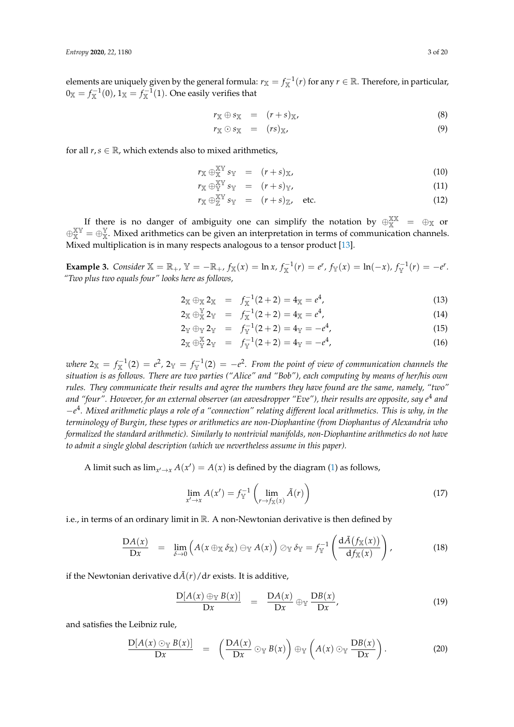elements are uniquely given by the general formula:  $r_\mathbb{X}=f_\mathbb{X}^{-1}(r)$  for any  $r\in\mathbb{R}.$  Therefore, in particular,  $0_{\mathbb{X}}=f_{\mathbb{X}}^{-1}(0)$ , 1 $_{\mathbb{X}}=f_{\mathbb{X}}^{-1}(1)$ . One easily verifies that

$$
r_{\mathbb{X}} \oplus s_{\mathbb{X}} = (r+s)_{\mathbb{X}}, \tag{8}
$$

$$
r_{\mathbb{X}} \odot s_{\mathbb{X}} = (rs)_{\mathbb{X}}, \tag{9}
$$

for all  $r, s \in \mathbb{R}$ , which extends also to mixed arithmetics,

$$
r_{\mathbb{X}} \oplus_{\mathbb{X}}^{\mathbb{X}\mathbb{Y}} s_{\mathbb{Y}} = (r+s)_{\mathbb{X}}, \tag{10}
$$

$$
r_{\mathbb{X}} \oplus_{\mathbb{Y}}^{\mathbb{X}\mathbb{Y}} s_{\mathbb{Y}} = (r+s)_{\mathbb{Y}}, \tag{11}
$$

$$
r_{\mathbb{X}} \oplus_{\mathbb{Z}}^{\mathbb{X}\mathbb{Y}} s_{\mathbb{Y}} = (r+s)_{\mathbb{Z}}, \quad \text{etc.} \tag{12}
$$

If there is no danger of ambiguity one can simplify the notation by  $\oplus_{X}^{XX}$  =  $\oplus_{X}$  or  $\oplus_{X}^{XY} = \oplus_{X}^{Y}$ . Mixed arithmetics can be given an interpretation in terms of communication channels. Mixed multiplication is in many respects analogous to a tensor product [\[13\]](#page-17-12).

**Example 3.** Consider  $\mathbb{X} = \mathbb{R}_+$ ,  $\mathbb{Y} = -\mathbb{R}_+$ ,  $f_{\mathbb{X}}(x) = \ln x$ ,  $f_{\mathbb{X}}^{-1}(r) = e^r$ ,  $f_{\mathbb{Y}}(x) = \ln(-x)$ ,  $f_{\mathbb{Y}}^{-1}(r) = -e^r$ . *"Two plus two equals four" looks here as follows,*

$$
2_{\mathbb{X}} \oplus_{\mathbb{X}} 2_{\mathbb{X}} = f_{\mathbb{X}}^{-1}(2+2) = 4_{\mathbb{X}} = e^4, \tag{13}
$$

$$
2_{\mathbb{X}} \oplus_{\mathbb{X}}^{\mathbb{Y}} 2_{\mathbb{Y}} = f_{\mathbb{X}}^{-1}(2+2) = 4_{\mathbb{X}} = e^4, \tag{14}
$$

$$
2_{\mathbb{Y}} \oplus_{\mathbb{Y}} 2_{\mathbb{Y}} = f_{\mathbb{Y}}^{-1}(2+2) = 4_{\mathbb{Y}} = -e^4, \tag{15}
$$

$$
2_{\mathbb{X}} \oplus_{\mathbb{Y}}^{\mathbb{X}} 2_{\mathbb{Y}} = f_{\mathbb{Y}}^{-1}(2+2) = 4_{\mathbb{Y}} = -e^{4}, \tag{16}
$$

where  $2_{\mathbb{X}} = f_{\mathbb{X}}^{-1}(2) = e^2$ ,  $2_{\mathbb{Y}} = f_{\mathbb{Y}}^{-1}(2) = -e^2$ . From the point of view of communication channels the *situation is as follows. There are two parties ("Alice" and "Bob"), each computing by means of her/his own rules. They communicate their results and agree the numbers they have found are the same, namely, "two" and "four". However, for an external observer (an eavesdropper "Eve"), their results are opposite, say e* 4 *and* −*e* 4 *. Mixed arithmetic plays a role of a "connection" relating different local arithmetics. This is why, in the terminology of Burgin, these types or arithmetics are non-Diophantine (from Diophantus of Alexandria who formalized the standard arithmetic). Similarly to nontrivial manifolds, non-Diophantine arithmetics do not have to admit a single global description (which we nevertheless assume in this paper).*

A limit such as  $\lim_{x' \to x} A(x') = A(x)$  is defined by the diagram [\(1\)](#page-0-0) as follows,

<span id="page-2-1"></span>
$$
\lim_{x' \to x} A(x') = f_{\mathbb{Y}}^{-1} \left( \lim_{r \to f_{\mathbb{X}}(x)} \tilde{A}(r) \right)
$$
(17)

i.e., in terms of an ordinary limit in R. A non-Newtonian derivative is then defined by

<span id="page-2-0"></span>
$$
\frac{\mathrm{D}A(x)}{\mathrm{D}x} = \lim_{\delta \to 0} \left( A(x \oplus_{\mathbb{X}} \delta_{\mathbb{X}}) \ominus_{\mathbb{Y}} A(x) \right) \oslash_{\mathbb{Y}} \delta_{\mathbb{Y}} = f_{\mathbb{Y}}^{-1} \left( \frac{\mathrm{d}\tilde{A}(f_{\mathbb{X}}(x))}{\mathrm{d}f_{\mathbb{X}}(x)} \right), \tag{18}
$$

if the Newtonian derivative  $d\tilde{A}(r)/dr$  exists. It is additive,

$$
\frac{D[A(x) \oplus_{Y} B(x)]}{Dx} = \frac{DA(x)}{Dx} \oplus_{Y} \frac{DB(x)}{Dx}, \qquad (19)
$$

and satisfies the Leibniz rule,

$$
\frac{D[A(x) \odot_{Y} B(x)]}{Dx} = \left(\frac{DA(x)}{Dx} \odot_{Y} B(x)\right) \oplus_{Y} \left(A(x) \odot_{Y} \frac{DB(x)}{Dx}\right).
$$
 (20)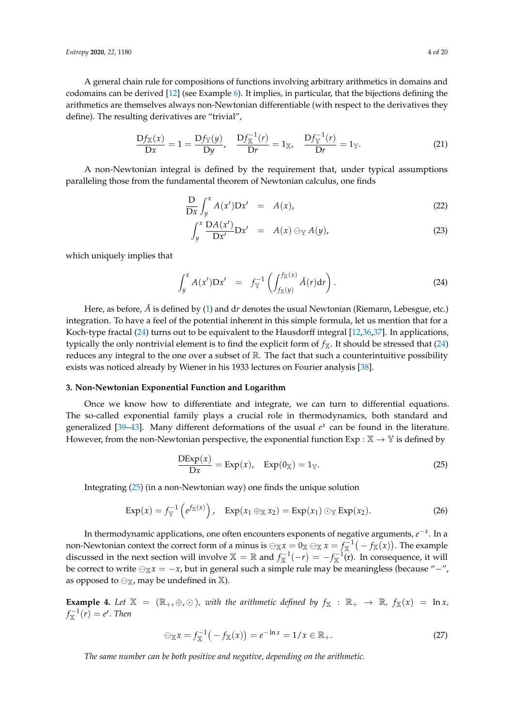A general chain rule for compositions of functions involving arbitrary arithmetics in domains and codomains can be derived [\[12\]](#page-17-13) (see Example [6\)](#page-5-0). It implies, in particular, that the bijections defining the arithmetics are themselves always non-Newtonian differentiable (with respect to the derivatives they define). The resulting derivatives are "trivial",

$$
\frac{Df_{\mathbb{X}}(x)}{Dx} = 1 = \frac{Df_{\mathbb{Y}}(y)}{Dy}, \quad \frac{Df_{\mathbb{X}}^{-1}(r)}{Dr} = 1_{\mathbb{X}}, \quad \frac{Df_{\mathbb{Y}}^{-1}(r)}{Dr} = 1_{\mathbb{Y}}.
$$
 (21)

A non-Newtonian integral is defined by the requirement that, under typical assumptions paralleling those from the fundamental theorem of Newtonian calculus, one finds

$$
\frac{\mathcal{D}}{\mathcal{D}x} \int_{y}^{x} A(x') \mathcal{D}x' = A(x), \tag{22}
$$

$$
\int_{y}^{x} \frac{\mathcal{D}A(x')}{\mathcal{D}x'} \mathcal{D}x' = A(x) \ominus_{\mathbb{Y}} A(y), \tag{23}
$$

which uniquely implies that

<span id="page-3-0"></span>
$$
\int_{y}^{x} A(x') \mathbf{D} x' = f_{\mathbb{Y}}^{-1} \left( \int_{f_{\mathbb{X}}(y)}^{f_{\mathbb{X}}(x)} \tilde{A}(r) dr \right).
$$
 (24)

Here, as before,  $\tilde{A}$  is defined by [\(1\)](#page-0-0) and dr denotes the usual Newtonian (Riemann, Lebesgue, etc.) integration. To have a feel of the potential inherent in this simple formula, let us mention that for a Koch-type fractal [\(24\)](#page-3-0) turns out to be equivalent to the Hausdorff integral [\[12,](#page-17-13)[36,](#page-18-2)[37\]](#page-18-3). In applications, typically the only nontrivial element is to find the explicit form of  $f_X$ . It should be stressed that [\(24\)](#page-3-0) reduces any integral to the one over a subset of  $\mathbb{R}$ . The fact that such a counterintuitive possibility exists was noticed already by Wiener in his 1933 lectures on Fourier analysis [\[38\]](#page-18-4).

#### **3. Non-Newtonian Exponential Function and Logarithm**

Once we know how to differentiate and integrate, we can turn to differential equations. The so-called exponential family plays a crucial role in thermodynamics, both standard and generalized  $[39-43]$  $[39-43]$ . Many different deformations of the usual  $e^x$  can be found in the literature. However, from the non-Newtonian perspective, the exponential function  $Exp : \mathbb{X} \to \mathbb{Y}$  is defined by

<span id="page-3-1"></span>
$$
\frac{\text{DExp}(x)}{\text{D}x} = \text{Exp}(x), \quad \text{Exp}(0_{\mathbb{X}}) = 1_{\mathbb{Y}}.\tag{25}
$$

Integrating [\(25\)](#page-3-1) (in a non-Newtonian way) one finds the unique solution

$$
\operatorname{Exp}(x) = f_{\mathbb{Y}}^{-1} \left( e^{f_{\mathbb{X}}(x)} \right), \quad \operatorname{Exp}(x_1 \oplus_{\mathbb{X}} x_2) = \operatorname{Exp}(x_1) \odot_{\mathbb{Y}} \operatorname{Exp}(x_2). \tag{26}
$$

In thermodynamic applications, one often encounters exponents of negative arguments, *e* −*x* . In a non-Newtonian context the correct form of a minus is  $\ominus_\mathbb{X} x = 0_\mathbb{X}\ominus_\mathbb{X} x = f_\mathbb{X}^{-1}\big(-f_\mathbb{X}(x)\big).$  The example discussed in the next section will involve  $\mathbb{X} = \mathbb{R}$  and  $f_{\mathbb{X}}^{-1}(-r) = -f_{\mathbb{X}}^{-1}(r)$ . In consequence, it will be correct to write  $\bigoplus_{x} x = -x$ , but in general such a simple rule may be meaningless (because "-", as opposed to  $\ominus_{\mathbb{X}}$ , may be undefined in  $\mathbb{X}$ ).

**Example 4.** Let  $\mathbb{X} = (\mathbb{R}_+, \oplus, \odot)$ , with the arithmetic defined by  $f_{\mathbb{X}} : \mathbb{R}_+ \to \mathbb{R}$ ,  $f_{\mathbb{X}}(x) = \ln x$ ,  $f_{\mathbb{X}}^{-1}(r) = e^r$ . Then

$$
\ominus_{\mathbb{X}} x = f_{\mathbb{X}}^{-1} \big( -f_{\mathbb{X}}(x) \big) = e^{-\ln x} = 1/x \in \mathbb{R}_+.
$$
 (27)

*The same number can be both positive and negative, depending on the arithmetic.*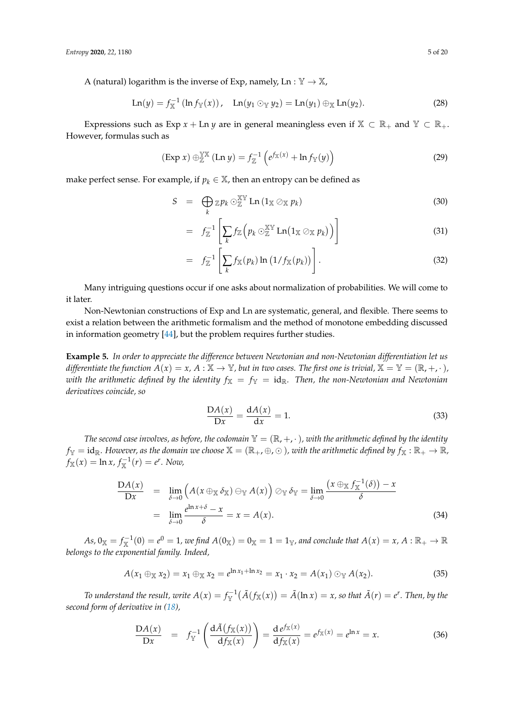A (natural) logarithm is the inverse of Exp, namely,  $\text{Ln}: \mathbb{Y} \to \mathbb{X}$ ,

$$
Ln(y) = f_{X}^{-1} (ln f_{Y}(x)), Ln(y_1 \odot_Y y_2) = Ln(y_1) \oplus_X Ln(y_2).
$$
 (28)

Expressions such as Exp  $x + \text{Ln } y$  are in general meaningless even if  $\mathbb{X} \subset \mathbb{R}_+$  and  $\mathbb{Y} \subset \mathbb{R}_+$ . However, formulas such as

$$
(\text{Exp } x) \oplus_{\mathbb{Z}}^{\mathbb{Y}\mathbb{X}} (\text{Ln } y) = f_{\mathbb{Z}}^{-1} \left( e^{f_{\mathbb{X}}(x)} + \ln f_{\mathbb{Y}}(y) \right)
$$
 (29)

make perfect sense. For example, if  $p_k \in \mathbb{X}$ , then an entropy can be defined as

<span id="page-4-0"></span>
$$
S = \bigoplus_{k} \mathbb{Z} p_k \odot_{\mathbb{Z}}^{\mathbb{X}\mathbb{Y}} \operatorname{Ln} \left(1_{\mathbb{X}} \oslash_{\mathbb{X}} p_k\right) \tag{30}
$$

$$
= f_{\mathbb{Z}}^{-1} \left[ \sum_{k} f_{\mathbb{Z}} \left( p_k \odot_{\mathbb{Z}}^{\mathbb{XY}} \text{Ln} (1_{\mathbb{X}} \oslash_{\mathbb{X}} p_k) \right) \right]
$$
(31)

$$
= f_{\mathbb{Z}}^{-1} \left[ \sum_{k} f_{\mathbb{X}}(p_k) \ln \left( 1 / f_{\mathbb{X}}(p_k) \right) \right]. \tag{32}
$$

Many intriguing questions occur if one asks about normalization of probabilities. We will come to it later.

Non-Newtonian constructions of Exp and Ln are systematic, general, and flexible. There seems to exist a relation between the arithmetic formalism and the method of monotone embedding discussed in information geometry [\[44\]](#page-18-7), but the problem requires further studies.

**Example 5.** *In order to appreciate the difference between Newtonian and non-Newtonian differentiation let us differentiate the function*  $A(x) = x$ ,  $A : \mathbb{X} \to \mathbb{Y}$ , but in two cases. The first one is trivial,  $\mathbb{X} = \mathbb{Y} = (\mathbb{R}, +, \cdot)$ , *with the arithmetic defined by the identity*  $f_X = f_Y = id_R$ . Then, the non-Newtonian and Newtonian *derivatives coincide, so*

$$
\frac{\mathcal{D}A(x)}{\mathcal{D}x} = \frac{\mathrm{d}A(x)}{\mathrm{d}x} = 1.
$$
\n(33)

*The second case involves, as before, the codomain*  $\mathbb{Y} = (\mathbb{R}, +, \cdot)$ *, with the arithmetic defined by the identity*  $f_Y = id_{\mathbb{R}}$ . However, as the domain we choose  $\mathbb{X} = (\mathbb{R}_+, \oplus, \odot)$ , with the arithmetic defined by  $f_{\mathbb{X}} : \mathbb{R}_+ \to \mathbb{R}$ ,  $f_{\mathbb{X}}(x) = \ln x, f_{\mathbb{X}}^{-1}(r) = e^r$ . Now,

$$
\frac{\mathcal{D}A(x)}{\mathcal{D}x} = \lim_{\delta \to 0} \left( A(x \oplus_{\mathbb{X}} \delta_{\mathbb{X}}) \ominus_{\mathbb{Y}} A(x) \right) \oslash_{\mathbb{Y}} \delta_{\mathbb{Y}} = \lim_{\delta \to 0} \frac{\left( x \oplus_{\mathbb{X}} f_{\mathbb{X}}^{-1}(\delta) \right) - x}{\delta}
$$
\n
$$
= \lim_{\delta \to 0} \frac{e^{\ln x + \delta} - x}{\delta} = x = A(x). \tag{34}
$$

 $As, 0_{\mathbb{X}}=f_{\mathbb{X}}^{-1}(0)=e^0=1$ , we find  $A(0_{\mathbb{X}})=0_{\mathbb{X}}=1=1_{\mathbb{Y}}$ , and conclude that  $A(x)=x$ ,  $A:\mathbb{R}_+\to\mathbb{R}$ *belongs to the exponential family. Indeed,*

$$
A(x_1 \oplus_{\mathbb{X}} x_2) = x_1 \oplus_{\mathbb{X}} x_2 = e^{\ln x_1 + \ln x_2} = x_1 \cdot x_2 = A(x_1) \odot_{\mathbb{Y}} A(x_2).
$$
 (35)

*To understand the result, write*  $A(x) = f_{\mathbb{Y}}^{-1}\big(\tilde{A}(f_{\mathbb{X}}(x)) = \tilde{A}(\ln x) = x$ *, so that*  $\tilde{A}(r) = e^r$ *. Then, by the second form of derivative in [\(18\)](#page-2-0),*

$$
\frac{\mathcal{D}A(x)}{\mathcal{D}x} = f_{\mathbb{Y}}^{-1}\left(\frac{\mathrm{d}\tilde{A}(f_{\mathbb{X}}(x))}{\mathrm{d}f_{\mathbb{X}}(x)}\right) = \frac{\mathrm{d}e^{f_{\mathbb{X}}(x)}}{\mathrm{d}f_{\mathbb{X}}(x)} = e^{f_{\mathbb{X}}(x)} = e^{\ln x} = x.
$$
\n(36)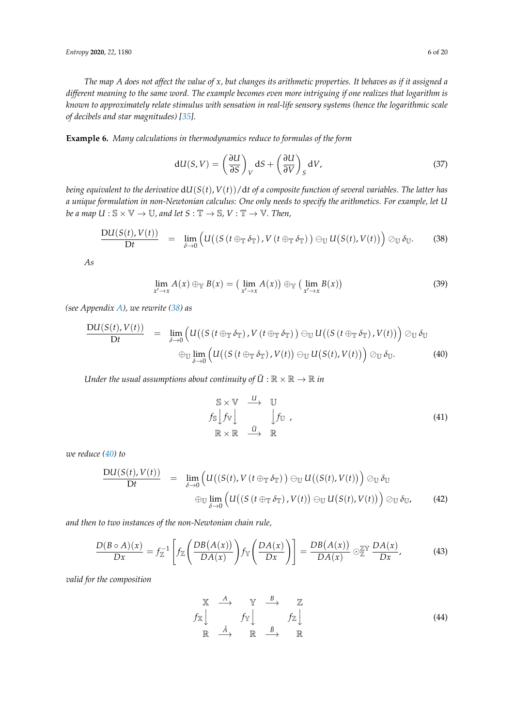*The map A does not affect the value of x, but changes its arithmetic properties. It behaves as if it assigned a different meaning to the same word. The example becomes even more intriguing if one realizes that logarithm is known to approximately relate stimulus with sensation in real-life sensory systems (hence the logarithmic scale of decibels and star magnitudes) [\[35\]](#page-18-1).*

<span id="page-5-0"></span>**Example 6.** *Many calculations in thermodynamics reduce to formulas of the form*

$$
dU(S,V) = \left(\frac{\partial U}{\partial S}\right)_V dS + \left(\frac{\partial U}{\partial V}\right)_S dV,\tag{37}
$$

*being equivalent to the derivative* d*U*(*S*(*t*), *V*(*t*))/d*t of a composite function of several variables. The latter has a unique formulation in non-Newtonian calculus: One only needs to specify the arithmetics. For example, let U be a map*  $U : \mathbb{S} \times \mathbb{V} \to \mathbb{U}$ , and let  $S : \mathbb{T} \to \mathbb{S}$ ,  $V : \mathbb{T} \to \mathbb{V}$ . Then,

<span id="page-5-1"></span>
$$
\frac{\mathrm{D}U(S(t),V(t))}{\mathrm{D}t} = \lim_{\delta \to 0} \left( U\big((S(t \oplus_{\mathbb{T}} \delta_{\mathbb{T}}),V(t \oplus_{\mathbb{T}} \delta_{\mathbb{T}})) \oplus_{\mathbb{U}} U(S(t),V(t))\right) \oslash_{\mathbb{U}} \delta_{\mathbb{U}}.
$$
 (38)

*As*

<span id="page-5-3"></span>
$$
\lim_{x' \to x} A(x) \oplus_{\mathbb{Y}} B(x) = (\lim_{x' \to x} A(x)) \oplus_{\mathbb{Y}} (\lim_{x' \to x} B(x))
$$
\n(39)

*(see Appendix [A\)](#page-14-0), we rewrite [\(38\)](#page-5-1) as*

<span id="page-5-2"></span>
$$
\frac{\mathrm{D}U(S(t),V(t))}{\mathrm{D}t} = \lim_{\delta \to 0} \left( U\big((S(t \oplus_{\mathbb{T}} \delta_{\mathbb{T}}),V(t \oplus_{\mathbb{T}} \delta_{\mathbb{T}})) \oplus_{\mathbb{U}} U\big((S(t \oplus_{\mathbb{T}} \delta_{\mathbb{T}}),V(t))\big) \otimes_{\mathbb{U}} \delta_{\mathbb{U}} \right) \newline \oplus_{\mathbb{U}} \lim_{\delta \to 0} \left( U\big((S(t \oplus_{\mathbb{T}} \delta_{\mathbb{T}}),V(t)) \oplus_{\mathbb{U}} U(S(t),V(t))\big) \otimes_{\mathbb{U}} \delta_{\mathbb{U}}.\tag{40}
$$

*Under the usual assumptions about continuity of*  $\tilde{U}$  :  $\mathbb{R} \times \mathbb{R} \to \mathbb{R}$  *in* 

$$
S \times V \xrightarrow{U} U
$$
  
\n
$$
f_S[f_V] \qquad f_U,
$$
  
\n
$$
\mathbb{R} \times \mathbb{R} \xrightarrow{\tilde{U}} \mathbb{R}
$$
 (41)

*we reduce [\(40\)](#page-5-2) to*

$$
\frac{\mathrm{D}U(S(t), V(t))}{\mathrm{D}t} = \lim_{\delta \to 0} \left( U\big((S(t), V(t \oplus_{\mathbb{T}} \delta_{\mathbb{T}})) \oplus_{\mathbb{U}} U\big((S(t), V(t))\big) \otimes_{\mathbb{U}} \delta_{\mathbb{U}} \right) \newline \oplus_{\mathbb{U}} \lim_{\delta \to 0} \left( U\big((S(t \oplus_{\mathbb{T}} \delta_{\mathbb{T}}), V(t)\big) \oplus_{\mathbb{U}} U\big(S(t), V(t)\big)\right) \otimes_{\mathbb{U}} \delta_{\mathbb{U}}, \tag{42}
$$

*and then to two instances of the non-Newtonian chain rule,*

$$
\frac{D(B \circ A)(x)}{Dx} = f_{\mathbb{Z}}^{-1} \left[ f_{\mathbb{Z}} \left( \frac{DB(A(x))}{DA(x)} \right) f_{\mathbb{Y}} \left( \frac{DA(x)}{Dx} \right) \right] = \frac{DB(A(x))}{DA(x)} \odot_{\mathbb{Z}} \frac{DA(x)}{Dx}, \tag{43}
$$

*valid for the composition*

$$
\begin{array}{ccc}\nX & \xrightarrow{A} & Y & \xrightarrow{B} & Z \\
f_X \downarrow & & f_Y \downarrow & & f_Z \downarrow \\
\mathbb{R} & \xrightarrow{\tilde{A}} & \mathbb{R} & \xrightarrow{\tilde{B}} & \mathbb{R}\n\end{array} \tag{44}
$$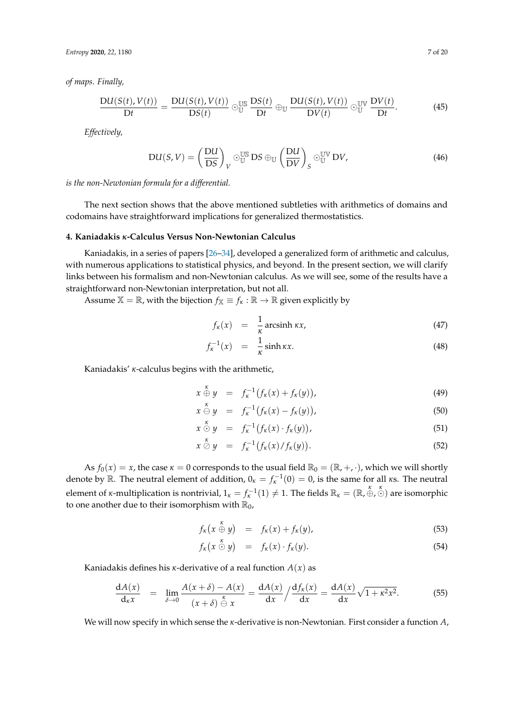*Entropy* **2020**, *22*, 1180 7 of 20

*of maps. Finally,*

$$
\frac{\mathrm{D}U(S(t), V(t))}{\mathrm{D}t} = \frac{\mathrm{D}U(S(t), V(t))}{\mathrm{D}S(t)} \odot_{\mathbb{U}}^{\mathbb{U}\mathbb{S}} \frac{\mathrm{D}S(t)}{\mathrm{D}t} \oplus_{\mathbb{U}} \frac{\mathrm{D}U(S(t), V(t))}{\mathrm{D}V(t)} \odot_{\mathbb{U}}^{\mathbb{U}\mathbb{V}} \frac{\mathrm{D}V(t)}{\mathrm{D}t}.
$$
 (45)

*Effectively,*

$$
DU(S,V) = \left(\frac{DU}{DS}\right)_V \odot_{\mathbb{U}}^{\mathbb{US}} DS \oplus_{\mathbb{U}} \left(\frac{DU}{DV}\right)_S \odot_{\mathbb{U}}^{\mathbb{UV}} DV, \tag{46}
$$

*is the non-Newtonian formula for a differential.*

The next section shows that the above mentioned subtleties with arithmetics of domains and codomains have straightforward implications for generalized thermostatistics.

## **4. Kaniadakis** *κ***-Calculus Versus Non-Newtonian Calculus**

Kaniadakis, in a series of papers [\[26–](#page-17-11)[34\]](#page-18-0), developed a generalized form of arithmetic and calculus, with numerous applications to statistical physics, and beyond. In the present section, we will clarify links between his formalism and non-Newtonian calculus. As we will see, some of the results have a straightforward non-Newtonian interpretation, but not all.

Assume  $\mathbb{X} = \mathbb{R}$ , with the bijection  $f_{\mathbb{X}} \equiv f_{\kappa} : \mathbb{R} \to \mathbb{R}$  given explicitly by

$$
f_{\kappa}(x) = \frac{1}{\kappa} \operatorname{arcsinh} \kappa x, \tag{47}
$$

$$
f_{\kappa}^{-1}(x) = \frac{1}{\kappa} \sinh \kappa x.
$$
 (48)

Kaniadakis' *κ*-calculus begins with the arithmetic,

$$
x \stackrel{\kappa}{\oplus} y = f_{\kappa}^{-1} (f_{\kappa}(x) + f_{\kappa}(y)), \tag{49}
$$

$$
x \stackrel{\kappa}{\ominus} y = f_{\kappa}^{-1} \big( f_{\kappa}(x) - f_{\kappa}(y) \big), \tag{50}
$$

$$
x \stackrel{\kappa}{\odot} y = f_{\kappa}^{-1} (f_{\kappa}(x) \cdot f_{\kappa}(y)), \tag{51}
$$

$$
x \stackrel{\kappa}{\otimes} y = f_{\kappa}^{-1} \big( f_{\kappa}(x) / f_{\kappa}(y) \big). \tag{52}
$$

As  $f_0(x) = x$ , the case  $\kappa = 0$  corresponds to the usual field  $\mathbb{R}_0 = (\mathbb{R}, +, \cdot)$ , which we will shortly denote by  $\mathbb{R}$ . The neutral element of addition,  $0_{\kappa} = f_{\kappa}^{-1}(0) = 0$ , is the same for all  $\kappa$ s. The neutral element of *κ*-multiplication is nontrivial,  $1_k = f_k^{-1}(1) \neq 1$ . The fields  $\mathbb{R}_k = (\mathbb{R}, \oplus, \odot)$  are isomorphic to one another due to their isomorphism with  $\mathbb{R}_0$ ,

$$
f_{\kappa}\left(x\stackrel{\kappa}{\oplus}y\right) = f_{\kappa}(x) + f_{\kappa}(y), \tag{53}
$$

$$
f_{\kappa}(x \stackrel{\wedge}{\odot} y) = f_{\kappa}(x) \cdot f_{\kappa}(y). \tag{54}
$$

Kaniadakis defines his *κ*-derivative of a real function *A*(*x*) as

<span id="page-6-0"></span>
$$
\frac{dA(x)}{dx} = \lim_{\delta \to 0} \frac{A(x+\delta) - A(x)}{(x+\delta) - \frac{\kappa}{\Theta}x} = \frac{dA(x)}{dx} / \frac{df_{\kappa}(x)}{dx} = \frac{dA(x)}{dx} \sqrt{1 + \kappa^2 x^2}.
$$
 (55)

We will now specify in which sense the *κ*-derivative is non-Newtonian. First consider a function *A*,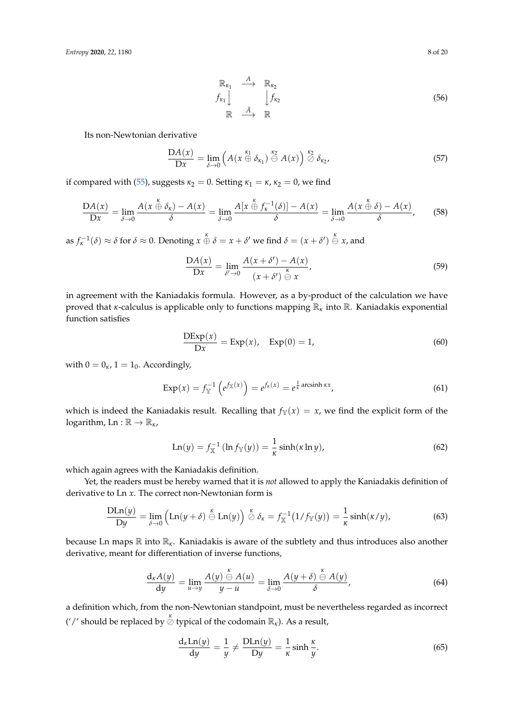$$
\begin{array}{ccc}\n\mathbb{R}_{\kappa_1} & \xrightarrow{A} & \mathbb{R}_{\kappa_2} \\
f_{\kappa_1} & & \qquad \int f_{\kappa_2} \\
\mathbb{R} & \xrightarrow{\tilde{A}} & \mathbb{R}\n\end{array} \tag{56}
$$

Its non-Newtonian derivative

$$
\frac{\mathcal{D}A(x)}{\mathcal{D}x} = \lim_{\delta \to 0} \left( A(x \stackrel{\kappa_1}{\oplus} \delta_{\kappa_1}) \stackrel{\kappa_2}{\ominus} A(x) \right) \stackrel{\kappa_2}{\oslash} \delta_{\kappa_2},\tag{57}
$$

if compared with [\(55\)](#page-6-0), suggests  $\kappa_2 = 0$ . Setting  $\kappa_1 = \kappa$ ,  $\kappa_2 = 0$ , we find

$$
\frac{\mathcal{D}A(x)}{\mathcal{D}x} = \lim_{\delta \to 0} \frac{A(x \stackrel{\kappa}{\oplus} \delta_{\kappa}) - A(x)}{\delta} = \lim_{\delta \to 0} \frac{A[x \stackrel{\kappa}{\oplus} f_{\kappa}^{-1}(\delta)] - A(x)}{\delta} = \lim_{\delta \to 0} \frac{A(x \stackrel{\kappa}{\oplus} \delta) - A(x)}{\delta},\tag{58}
$$

as  $f_{\kappa}^{-1}(\delta) \approx \delta$  for  $\delta \approx 0$ . Denoting  $x \oplus \delta = x + \delta'$  we find  $\delta = (x + \delta') \oplus x$ , and

$$
\frac{\mathcal{D}A(x)}{\mathcal{D}x} = \lim_{\delta' \to 0} \frac{A(x + \delta') - A(x)}{(x + \delta') \stackrel{\kappa}{\ominus} x},\tag{59}
$$

in agreement with the Kaniadakis formula. However, as a by-product of the calculation we have proved that *<sup>κ</sup>*-calculus is applicable only to functions mapping R*<sup>κ</sup>* into R. Kaniadakis exponential function satisfies

$$
\frac{\text{DExp}(x)}{\text{D}x} = \text{Exp}(x), \quad \text{Exp}(0) = 1,\tag{60}
$$

with  $0 = 0_K$ ,  $1 = 1_0$ . Accordingly,

<span id="page-7-1"></span>
$$
\operatorname{Exp}(x) = f_{\mathbb{Y}}^{-1} \left( e^{f_{\mathbb{X}}(x)} \right) = e^{f_{\kappa}(x)} = e^{\frac{1}{\kappa} \operatorname{arcsinh} \kappa x}, \tag{61}
$$

which is indeed the Kaniadakis result. Recalling that  $f_Y(x) = x$ , we find the explicit form of the logarithm,  $Ln : \mathbb{R} \to \mathbb{R}_{\kappa}$ ,

$$
\text{Ln}(y) = f_{X}^{-1}(\ln f_{Y}(y)) = \frac{1}{\kappa} \sinh(\kappa \ln y), \tag{62}
$$

which again agrees with the Kaniadakis definition.

Yet, the readers must be hereby warned that it is *not* allowed to apply the Kaniadakis definition of derivative to Ln *x*. The correct non-Newtonian form is

$$
\frac{\text{DLn}(y)}{\text{D}y} = \lim_{\delta \to 0} \left( \text{Ln}(y + \delta) \stackrel{\kappa}{\ominus} \text{Ln}(y) \right) \stackrel{\kappa}{\oslash} \delta_{\kappa} = f_{\mathbb{X}}^{-1} \big( 1 / f_{\mathbb{Y}}(y) \big) = \frac{1}{\kappa} \sinh(\kappa/y), \tag{63}
$$

because Ln maps R into R*κ*. Kaniadakis is aware of the subtlety and thus introduces also another derivative, meant for differentiation of inverse functions,

<span id="page-7-0"></span>
$$
\frac{d_{\kappa}A(y)}{dy} = \lim_{u \to y} \frac{A(y) \stackrel{\kappa}{\ominus} A(u)}{y - u} = \lim_{\delta \to 0} \frac{A(y + \delta) \stackrel{\kappa}{\ominus} A(y)}{\delta},\tag{64}
$$

a definition which, from the non-Newtonian standpoint, must be nevertheless regarded as incorrect ('/' should be replaced by  $\stackrel{\kappa}{\oslash}$  typical of the codomain  $\mathbb{R}_{\kappa}$ ). As a result,

$$
\frac{d_{\kappa}Ln(y)}{dy} = \frac{1}{y} \neq \frac{DLn(y)}{Dy} = \frac{1}{\kappa} \sinh \frac{\kappa}{y}.
$$
\n(65)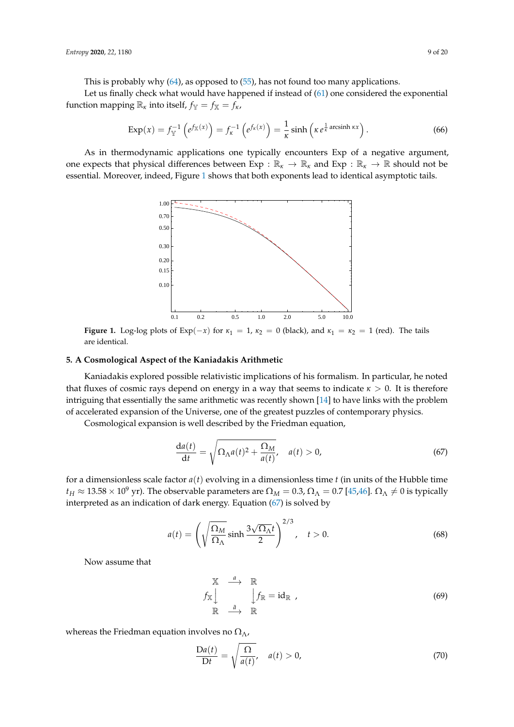This is probably why [\(64\)](#page-7-0), as opposed to [\(55\)](#page-6-0), has not found too many applications.

Let us finally check what would have happened if instead of [\(61\)](#page-7-1) one considered the exponential function mapping  $\mathbb{R}_k$  into itself,  $f_\mathbb{Y} = f_\mathbb{X} = f_\kappa$ ,

$$
\operatorname{Exp}(x) = f_{\mathbb{Y}}^{-1} \left( e^{f_{\mathbb{X}}(x)} \right) = f_{\kappa}^{-1} \left( e^{f_{\kappa}(x)} \right) = \frac{1}{\kappa} \sinh \left( \kappa e^{\frac{1}{\kappa} \operatorname{arcsinh} \kappa x} \right). \tag{66}
$$

<span id="page-8-0"></span>As in thermodynamic applications one typically encounters Exp of a negative argument, one expects that physical differences between  $Exp : \mathbb{R}_{\kappa} \to \mathbb{R}_{\kappa}$  and  $Exp : \mathbb{R}_{\kappa} \to \mathbb{R}$  should not be essential. Moreover, indeed, Figure [1](#page-8-0) shows that both exponents lead to identical asymptotic tails.



**Figure 1.** Log-log plots of Exp( $-x$ ) for  $\kappa_1 = 1$ ,  $\kappa_2 = 0$  (black), and  $\kappa_1 = \kappa_2 = 1$  (red). The tails are identical.

#### **5. A Cosmological Aspect of the Kaniadakis Arithmetic**

Kaniadakis explored possible relativistic implications of his formalism. In particular, he noted that fluxes of cosmic rays depend on energy in a way that seems to indicate  $\kappa > 0$ . It is therefore intriguing that essentially the same arithmetic was recently shown [\[14\]](#page-17-14) to have links with the problem of accelerated expansion of the Universe, one of the greatest puzzles of contemporary physics.

Cosmological expansion is well described by the Friedman equation,

<span id="page-8-1"></span>
$$
\frac{da(t)}{dt} = \sqrt{\Omega_{\Lambda}a(t)^2 + \frac{\Omega_M}{a(t)}}, \quad a(t) > 0,
$$
\n(67)

for a dimensionless scale factor  $a(t)$  evolving in a dimensionless time  $t$  (in units of the Hubble time  $t_H \approx 13.58 \times 10^9$  yr). The observable parameters are  $\Omega_M = 0.3$ ,  $\Omega_\Lambda = 0.7$  [\[45,](#page-18-8)[46\]](#page-18-9).  $\Omega_\Lambda \neq 0$  is typically interpreted as an indication of dark energy. Equation [\(67\)](#page-8-1) is solved by

<span id="page-8-2"></span>
$$
a(t) = \left(\sqrt{\frac{\Omega_M}{\Omega_\Lambda}}\sinh\frac{3\sqrt{\Omega_\Lambda}t}{2}\right)^{2/3}, \quad t > 0.
$$
 (68)

Now assume that

$$
\begin{array}{ccc}\n\mathbb{X} & \xrightarrow{a} & \mathbb{R} \\
f_{\mathbb{X}} & \downarrow f_{\mathbb{R}} = id_{\mathbb{R}} \\
\mathbb{R} & \xrightarrow{\tilde{a}} & \mathbb{R}\n\end{array}
$$
\n(69)

whereas the Friedman equation involves no  $\Omega_{\Lambda}$ ,

$$
\frac{\mathcal{D}a(t)}{\mathcal{D}t} = \sqrt{\frac{\Omega}{a(t)}}, \quad a(t) > 0,
$$
\n(70)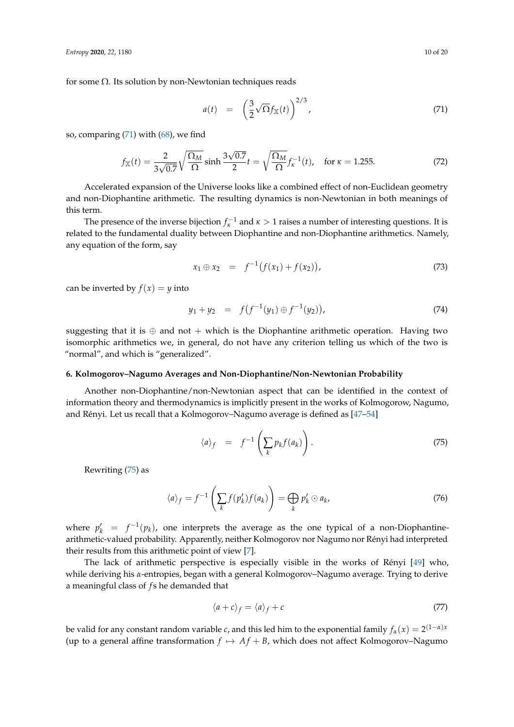for some  $\Omega$ . Its solution by non-Newtonian techniques reads

<span id="page-9-0"></span>
$$
a(t) = \left(\frac{3}{2}\sqrt{\Omega}f_{\mathbb{X}}(t)\right)^{2/3},\tag{71}
$$

so, comparing [\(71\)](#page-9-0) with [\(68\)](#page-8-2), we find

$$
f_{\mathbb{X}}(t) = \frac{2}{3\sqrt{0.7}} \sqrt{\frac{\Omega_M}{\Omega}} \sinh \frac{3\sqrt{0.7}}{2} t = \sqrt{\frac{\Omega_M}{\Omega}} f_{\kappa}^{-1}(t), \text{ for } \kappa = 1.255.
$$
 (72)

Accelerated expansion of the Universe looks like a combined effect of non-Euclidean geometry and non-Diophantine arithmetic. The resulting dynamics is non-Newtonian in both meanings of this term.

The presence of the inverse bijection  $f_{\kappa}^{-1}$  and  $\kappa > 1$  raises a number of interesting questions. It is related to the fundamental duality between Diophantine and non-Diophantine arithmetics. Namely, any equation of the form, say

$$
x_1 \oplus x_2 = f^{-1}(f(x_1) + f(x_2)), \tag{73}
$$

can be inverted by  $f(x) = y$  into

$$
y_1 + y_2 = f(f^{-1}(y_1) \oplus f^{-1}(y_2)), \tag{74}
$$

suggesting that it is  $oplus$  and not + which is the Diophantine arithmetic operation. Having two isomorphic arithmetics we, in general, do not have any criterion telling us which of the two is "normal", and which is "generalized".

#### **6. Kolmogorov–Nagumo Averages and Non-Diophantine/Non-Newtonian Probability**

Another non-Diophantine/non-Newtonian aspect that can be identified in the context of information theory and thermodynamics is implicitly present in the works of Kolmogorow, Nagumo, and Rényi. Let us recall that a Kolmogorov–Nagumo average is defined as [\[47–](#page-18-10)[54\]](#page-18-11)

<span id="page-9-1"></span>
$$
\langle a \rangle_f = f^{-1}\left(\sum_k p_k f(a_k)\right). \tag{75}
$$

Rewriting [\(75\)](#page-9-1) as

$$
\langle a \rangle_f = f^{-1} \left( \sum_k f(p'_k) f(a_k) \right) = \bigoplus_k p'_k \odot a_k, \tag{76}
$$

where  $p'_k = f^{-1}(p_k)$ , one interprets the average as the one typical of a non-Diophantinearithmetic-valued probability. Apparently, neither Kolmogorov nor Nagumo nor Rényi had interpreted their results from this arithmetic point of view [\[7\]](#page-17-4).

The lack of arithmetic perspective is especially visible in the works of Rényi [\[49\]](#page-18-12) who, while deriving his *α*-entropies, began with a general Kolmogorov–Nagumo average. Trying to derive a meaningful class of *f* s he demanded that

$$
\langle a+c \rangle_f = \langle a \rangle_f + c \tag{77}
$$

be valid for any constant random variable *c*, and this led him to the exponential family  $f_\alpha(x) = 2^{(1-\alpha)x}$ (up to a general affine transformation  $f \mapsto Af + B$ , which does not affect Kolmogorov–Nagumo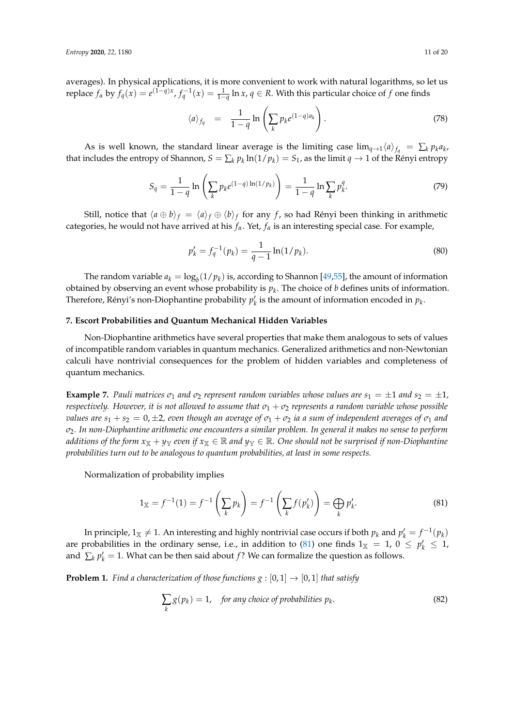averages). In physical applications, it is more convenient to work with natural logarithms, so let us replace  $f_{\alpha}$  by  $f_q(x) = e^{(1-q)x}$ ,  $f_q^{-1}(x) = \frac{1}{1-q} \ln x$ ,  $q \in R$ . With this particular choice of *f* one finds

$$
\langle a \rangle_{f_q} = \frac{1}{1-q} \ln \left( \sum_k p_k e^{(1-q)a_k} \right). \tag{78}
$$

As is well known, the standard linear average is the limiting case  $\lim_{q\to 1}\langle a\rangle_{f_q} = \sum_k p_k a_k$ that includes the entropy of Shannon,  $S = \sum_k p_k \ln(1/p_k) = S_1$ , as the limit  $q \to 1$  of the Rényi entropy

$$
S_q = \frac{1}{1-q} \ln \left( \sum_k p_k e^{(1-q)\ln(1/p_k)} \right) = \frac{1}{1-q} \ln \sum_k p_k^q.
$$
 (79)

Still, notice that  $\langle a \oplus b \rangle_f = \langle a \rangle_f \oplus \langle b \rangle_f$  for any *f* , so had Rényi been thinking in arithmetic categories, he would not have arrived at his *fα*. Yet, *f<sup>α</sup>* is an interesting special case. For example,

$$
p'_k = f_q^{-1}(p_k) = \frac{1}{q-1} \ln(1/p_k).
$$
 (80)

The random variable  $a_k = \log_b(1/p_k)$  is, according to Shannon [\[49,](#page-18-12)[55\]](#page-18-13), the amount of information obtained by observing an event whose probability is *p<sup>k</sup>* . The choice of *b* defines units of information. Therefore, Rényi's non-Diophantine probability  $p'_k$  is the amount of information encoded in  $p_k$ .

#### **7. Escort Probabilities and Quantum Mechanical Hidden Variables**

Non-Diophantine arithmetics have several properties that make them analogous to sets of values of incompatible random variables in quantum mechanics. Generalized arithmetics and non-Newtonian calculi have nontrivial consequences for the problem of hidden variables and completeness of quantum mechanics.

**Example 7.** Pauli matrices  $\sigma_1$  and  $\sigma_2$  represent random variables whose values are  $s_1 = \pm 1$  and  $s_2 = \pm 1$ , *respectively. However, it is not allowed to assume that*  $\sigma_1 + \sigma_2$  *represents a random variable whose possible values are*  $s_1 + s_2 = 0, \pm 2$ , even though an average of  $\sigma_1 + \sigma_2$  ia a sum of independent averages of  $\sigma_1$  and *σ*2*. In non-Diophantine arithmetic one encounters a similar problem. In general it makes no sense to perform additions of the form*  $x_X + y_Y$  *even if*  $x_X \in \mathbb{R}$  *and*  $y_Y \in \mathbb{R}$ *. One should not be surprised if non-Diophantine probabilities turn out to be analogous to quantum probabilities, at least in some respects.*

Normalization of probability implies

<span id="page-10-0"></span>
$$
1_{\mathbb{X}} = f^{-1}(1) = f^{-1}\left(\sum_{k} p_{k}\right) = f^{-1}\left(\sum_{k} f(p_{k}')\right) = \bigoplus_{k} p_{k}'.\tag{81}
$$

In principle, 1<sub>X</sub>  $\neq$  1. An interesting and highly nontrivial case occurs if both  $p_k$  and  $p'_k = f^{-1}(p_k)$ are probabilities in the ordinary sense, i.e., in addition to [\(81\)](#page-10-0) one finds  $1_{\mathbb{X}} = 1$ ,  $0 \le p'_k \le 1$ , and  $\sum_{k} p'_{k} = 1$ . What can be then said about *f*? We can formalize the question as follows.

**Problem 1.** *Find a characterization of those functions g* : [0, 1]  $\rightarrow$  [0, 1] *that satisfy* 

<span id="page-10-1"></span>
$$
\sum_{k} g(p_k) = 1, \quad \text{for any choice of probabilities } p_k. \tag{82}
$$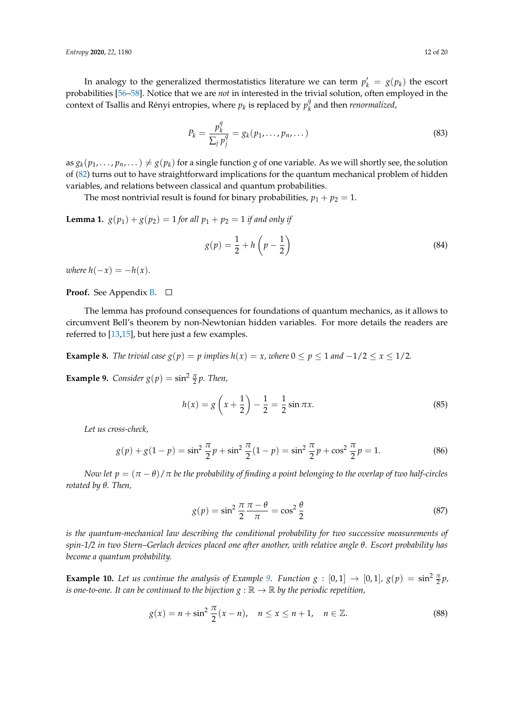In analogy to the generalized thermostatistics literature we can term  $p'_k = g(p_k)$  the escort probabilities [\[56–](#page-19-0)[58\]](#page-19-1). Notice that we are *not* in interested in the trivial solution, often employed in the context of Tsallis and Rényi entropies, where  $p_k$  is replaced by  $p_k^q$ *k* and then *renormalized*,

$$
P_k = \frac{p_k^q}{\sum_j p_j^q} = g_k(p_1, \dots, p_n, \dots)
$$
\n(83)

as  $g_k(p_1,\ldots,p_n,\ldots)\neq g(p_k)$  for a single function  $g$  of one variable. As we will shortly see, the solution of [\(82\)](#page-10-1) turns out to have straightforward implications for the quantum mechanical problem of hidden variables, and relations between classical and quantum probabilities.

The most nontrivial result is found for binary probabilities,  $p_1 + p_2 = 1$ .

<span id="page-11-3"></span>**Lemma 1.**  $g(p_1) + g(p_2) = 1$  *for all*  $p_1 + p_2 = 1$  *if and only if* 

<span id="page-11-4"></span>
$$
g(p) = \frac{1}{2} + h\left(p - \frac{1}{2}\right) \tag{84}
$$

*where*  $h(-x) = -h(x)$ .

**Proof.** See Appendix **B**. □

The lemma has profound consequences for foundations of quantum mechanics, as it allows to circumvent Bell's theorem by non-Newtonian hidden variables. For more details the readers are referred to [\[13,](#page-17-12)[15\]](#page-17-5), but here just a few examples.

**Example 8.** *The trivial case*  $g(p) = p$  *implies*  $h(x) = x$ *, where*  $0 \le p \le 1$  *and*  $-1/2 \le x \le 1/2$ *.* 

<span id="page-11-0"></span>**Example 9.** *Consider*  $g(p) = \sin^2 \frac{\pi}{2} p$ *. Then,* 

$$
h(x) = g\left(x + \frac{1}{2}\right) - \frac{1}{2} = \frac{1}{2}\sin \pi x.
$$
 (85)

*Let us cross-check,*

$$
g(p) + g(1 - p) = \sin^2 \frac{\pi}{2} p + \sin^2 \frac{\pi}{2} (1 - p) = \sin^2 \frac{\pi}{2} p + \cos^2 \frac{\pi}{2} p = 1.
$$
 (86)

*Now let*  $p = (\pi - \theta)/\pi$  *be the probability of finding a point belonging to the overlap of two half-circles rotated by θ. Then,*

<span id="page-11-2"></span>
$$
g(p) = \sin^2 \frac{\pi}{2} \frac{\pi - \theta}{\pi} = \cos^2 \frac{\theta}{2}
$$
 (87)

*is the quantum-mechanical law describing the conditional probability for two successive measurements of spin-1/2 in two Stern–Gerlach devices placed one after another, with relative angle θ. Escort probability has become a quantum probability.*

**Example 10.** Let us continue the analysis of Example [9.](#page-11-0) Function  $g : [0,1] \to [0,1], g(p) = \sin^2 \frac{\pi}{2}p$ , *is one-to-one. It can be continued to the bijection*  $g : \mathbb{R} \to \mathbb{R}$  by the periodic repetition,

<span id="page-11-1"></span>
$$
g(x) = n + \sin^2 \frac{\pi}{2} (x - n), \quad n \le x \le n + 1, \quad n \in \mathbb{Z}.
$$
 (88)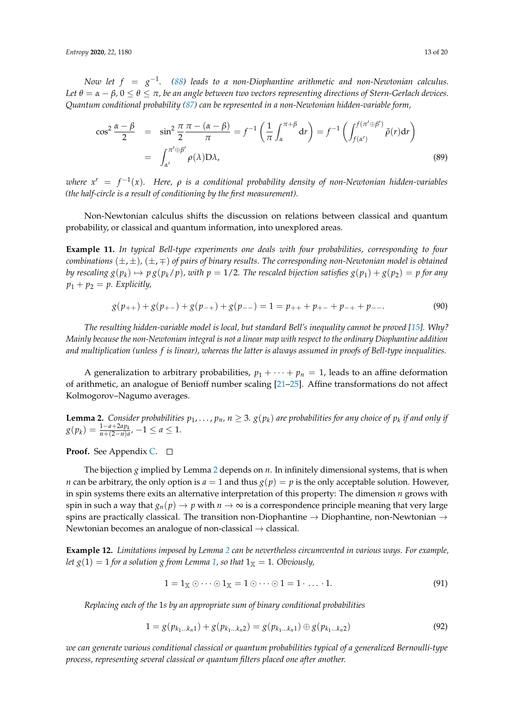*Now let*  $f = g^{-1}$ *. [\(88\)](#page-11-1) leads to a non-Diophantine arithmetic and non-Newtonian calculus. Let*  $\theta = \alpha - \beta$ ,  $0 \le \theta \le \pi$ , be an angle between two vectors representing directions of Stern-Gerlach devices. *Quantum conditional probability [\(87\)](#page-11-2) can be represented in a non-Newtonian hidden-variable form,*

$$
\cos^2 \frac{\alpha - \beta}{2} = \sin^2 \frac{\pi}{2} \frac{\pi - (\alpha - \beta)}{\pi} = f^{-1} \left( \frac{1}{\pi} \int_{\alpha}^{\pi + \beta} dr \right) = f^{-1} \left( \int_{f(\alpha')}^{f(\pi' \oplus \beta')} \tilde{\rho}(r) dr \right)
$$

$$
= \int_{\alpha'}^{\pi' \oplus \beta'} \rho(\lambda) D\lambda,
$$
(89)

*where x* <sup>0</sup> = *f* −1 (*x*)*. Here, ρ is a conditional probability density of non-Newtonian hidden-variables (the half-circle is a result of conditioning by the first measurement).*

Non-Newtonian calculus shifts the discussion on relations between classical and quantum probability, or classical and quantum information, into unexplored areas.

**Example 11.** *In typical Bell-type experiments one deals with four probabilities, corresponding to four combinations* (±, ±)*,* (±, ∓) *of pairs of binary results. The corresponding non-Newtonian model is obtained* by rescaling  $g(p_k) \mapsto p\,g(p_k/p)$ , with  $p=1/2$ . The rescaled bijection satisfies  $g(p_1)+g(p_2)=p$  for any  $p_1 + p_2 = p$ . Explicitly,

$$
g(p_{++}) + g(p_{+-}) + g(p_{-+}) + g(p_{--}) = 1 = p_{++} + p_{+-} + p_{-+} + p_{--}.
$$
\n(90)

*The resulting hidden-variable model is local, but standard Bell's inequality cannot be proved [\[15\]](#page-17-5). Why? Mainly because the non-Newtonian integral is not a linear map with respect to the ordinary Diophantine addition and multiplication (unless f is linear), whereas the latter is always assumed in proofs of Bell-type inequalities.*

A generalization to arbitrary probabilities,  $p_1 + \cdots + p_n = 1$ , leads to an affine deformation of arithmetic, an analogue of Benioff number scaling [\[21](#page-17-9)[–25\]](#page-17-10). Affine transformations do not affect Kolmogorov–Nagumo averages.

<span id="page-12-0"></span>**Lemma 2.** Consider probabilities  $p_1, \ldots, p_n$ ,  $n \geq 3$ .  $g(p_k)$  are probabilities for any choice of  $p_k$  if and only if  $g(p_k) = \frac{1 - a + 2ap_k}{n + (2 - n)a}$ ,  $-1 \le a \le 1$ .

**Proof.** See Appendix [C.](#page-15-1)

The bijection *g* implied by Lemma [2](#page-12-0) depends on *n*. In infinitely dimensional systems, that is when *n* can be arbitrary, the only option is  $a = 1$  and thus  $g(p) = p$  is the only acceptable solution. However, in spin systems there exits an alternative interpretation of this property: The dimension *n* grows with spin in such a way that  $g_n(p) \to p$  with  $n \to \infty$  is a correspondence principle meaning that very large spins are practically classical. The transition non-Diophantine  $\rightarrow$  Diophantine, non-Newtonian  $\rightarrow$ Newtonian becomes an analogue of non-classical → classical.

**Example 12.** *Limitations imposed by Lemma [2](#page-12-0) can be nevertheless circumvented in various ways. For example, let*  $g(1) = 1$  *for a solution g from Lemma [1,](#page-11-3) so that*  $1<sub>X</sub> = 1$ *. Obviously,* 

$$
1 = 1_{\mathbb{X}} \odot \cdots \odot 1_{\mathbb{X}} = 1 \odot \cdots \odot 1 = 1 \cdots 1. \tag{91}
$$

*Replacing each of the* 1*s by an appropriate sum of binary conditional probabilities*

$$
1 = g(p_{k_1...k_n1}) + g(p_{k_1...k_n2}) = g(p_{k_1...k_n1}) \oplus g(p_{k_1...k_n2})
$$
\n(92)

*we can generate various conditional classical or quantum probabilities typical of a generalized Bernoulli-type process, representing several classical or quantum filters placed one after another.*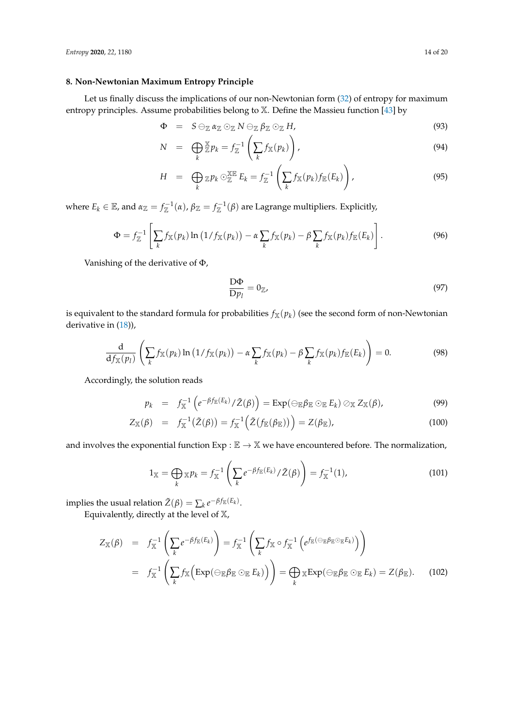# **8. Non-Newtonian Maximum Entropy Principle**

Let us finally discuss the implications of our non-Newtonian form [\(32\)](#page-4-0) of entropy for maximum entropy principles. Assume probabilities belong to X. Define the Massieu function [\[43\]](#page-18-6) by

$$
\Phi = S \ominus_{\mathbb{Z}} \alpha_{\mathbb{Z}} \odot_{\mathbb{Z}} N \ominus_{\mathbb{Z}} \beta_{\mathbb{Z}} \odot_{\mathbb{Z}} H,
$$
\n(93)

$$
N = \bigoplus_{k} \mathbb{Z} p_k = f_{\mathbb{Z}}^{-1} \left( \sum_{k} f_{\mathbb{X}}(p_k) \right), \tag{94}
$$

$$
H = \bigoplus_{k} \mathbb{Z} p_k \odot_{\mathbb{Z}}^{\mathbb{X} \mathbb{E}} E_k = f_{\mathbb{Z}}^{-1} \left( \sum_{k} f_{\mathbb{X}}(p_k) f_{\mathbb{E}}(E_k) \right), \tag{95}
$$

where  $E_k \in \mathbb{E}$ , and  $\alpha_{\mathbb{Z}} = f_{\mathbb{Z}}^{-1}(\alpha)$ ,  $\beta_{\mathbb{Z}} = f_{\mathbb{Z}}^{-1}(\beta)$  are Lagrange multipliers. Explicitly,

$$
\Phi = f_{\mathbb{Z}}^{-1} \left[ \sum_{k} f_{\mathbb{X}}(p_k) \ln \left( 1 / f_{\mathbb{X}}(p_k) \right) - \alpha \sum_{k} f_{\mathbb{X}}(p_k) - \beta \sum_{k} f_{\mathbb{X}}(p_k) f_{\mathbb{E}}(E_k) \right]. \tag{96}
$$

Vanishing of the derivative of Φ,

$$
\frac{\mathcal{D}\Phi}{\mathcal{D}p_l} = 0_{\mathbb{Z}},\tag{97}
$$

is equivalent to the standard formula for probabilities  $f_{\mathbb{X}}(p_k)$  (see the second form of non-Newtonian derivative in [\(18\)](#page-2-0)),

$$
\frac{\mathrm{d}}{\mathrm{d}f_{\mathbb{X}}(p_l)}\left(\sum_k f_{\mathbb{X}}(p_k)\ln\left(1/f_{\mathbb{X}}(p_k)\right)-\alpha\sum_k f_{\mathbb{X}}(p_k)-\beta\sum_k f_{\mathbb{X}}(p_k)f_{\mathbb{E}}(E_k)\right)=0.
$$
\n(98)

Accordingly, the solution reads

$$
p_k = f_{\mathbb{X}}^{-1} \left( e^{-\beta f_{\mathbb{E}}(E_k)} / \tilde{Z}(\beta) \right) = \operatorname{Exp}(\ominus_{\mathbb{E}} \beta_{\mathbb{E}} \odot_{\mathbb{E}} E_k) \oslash_{\mathbb{X}} Z_{\mathbb{X}}(\beta), \tag{99}
$$

$$
Z_{\mathbb{X}}(\beta) = f_{\mathbb{X}}^{-1}(\tilde{Z}(\beta)) = f_{\mathbb{X}}^{-1}(\tilde{Z}(f_{\mathbb{E}}(\beta_{\mathbb{E}}))) = Z(\beta_{\mathbb{E}}), \qquad (100)
$$

and involves the exponential function  $Exp : \mathbb{E} \to \mathbb{X}$  we have encountered before. The normalization,

$$
1_{\mathbb{X}} = \bigoplus_{k} \mathbb{X} p_k = f_{\mathbb{X}}^{-1} \left( \sum_{k} e^{-\beta f_{\mathbb{E}}(E_k)} / \tilde{Z}(\beta) \right) = f_{\mathbb{X}}^{-1}(1), \tag{101}
$$

implies the usual relation  $\tilde{Z}(\beta) = \sum_{k} e^{-\beta f_{\mathbb{E}}(E_k)}$ .

Equivalently, directly at the level of  $X$ ,

$$
Z_{\mathbb{X}}(\beta) = f_{\mathbb{X}}^{-1} \left( \sum_{k} e^{-\beta f_{\mathbb{E}}(E_{k})} \right) = f_{\mathbb{X}}^{-1} \left( \sum_{k} f_{\mathbb{X}} \circ f_{\mathbb{X}}^{-1} \left( e^{f_{\mathbb{E}}(\ominus_{\mathbb{E}} \beta_{\mathbb{E}} \odot_{\mathbb{E}} E_{k})} \right) \right)
$$
  
=  $f_{\mathbb{X}}^{-1} \left( \sum_{k} f_{\mathbb{X}} \left( \operatorname{Exp}(\ominus_{\mathbb{E}} \beta_{\mathbb{E}} \odot_{\mathbb{E}} E_{k}) \right) \right) = \bigoplus_{k} {\mathbb{X}} \operatorname{Exp}(\ominus_{\mathbb{E}} \beta_{\mathbb{E}} \odot_{\mathbb{E}} E_{k}) = Z(\beta_{\mathbb{E}}). \quad (102)$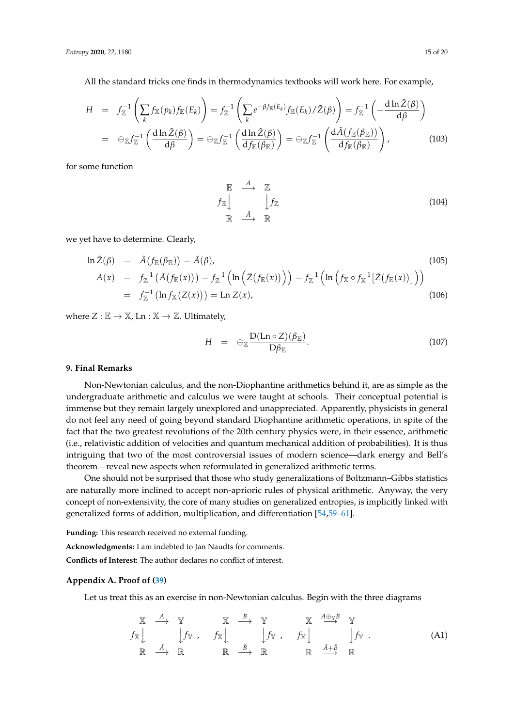All the standard tricks one finds in thermodynamics textbooks will work here. For example,

$$
H = f_{\mathbb{Z}}^{-1} \left( \sum_{k} f_{\mathbb{X}}(p_{k}) f_{\mathbb{E}}(E_{k}) \right) = f_{\mathbb{Z}}^{-1} \left( \sum_{k} e^{-\beta f_{\mathbb{E}}(E_{k})} f_{\mathbb{E}}(E_{k}) / \tilde{Z}(\beta) \right) = f_{\mathbb{Z}}^{-1} \left( -\frac{d \ln \tilde{Z}(\beta)}{d\beta} \right)
$$
  
=  $\Theta_{\mathbb{Z}} f_{\mathbb{Z}}^{-1} \left( \frac{d \ln \tilde{Z}(\beta)}{d\beta} \right) = \Theta_{\mathbb{Z}} f_{\mathbb{Z}}^{-1} \left( \frac{d \ln \tilde{Z}(\beta)}{d f_{\mathbb{E}}(\beta_{\mathbb{E}})} \right) = \Theta_{\mathbb{Z}} f_{\mathbb{Z}}^{-1} \left( \frac{d \tilde{A} (f_{\mathbb{E}}(\beta_{\mathbb{E}}))}{d f_{\mathbb{E}}(\beta_{\mathbb{E}})} \right),$  (103)

for some function

$$
\begin{array}{ccc}\n\mathbb{E} & \stackrel{A}{\longrightarrow} & \mathbb{Z} \\
\downarrow f_{\mathbb{E}} & & \downarrow f_{\mathbb{Z}} \\
\mathbb{R} & \stackrel{\tilde{A}}{\longrightarrow} & \mathbb{R}\n\end{array} \tag{104}
$$

we yet have to determine. Clearly,

$$
\ln \tilde{Z}(\beta) = \tilde{A}(f_{\mathbb{E}}(\beta_{\mathbb{E}})) = \tilde{A}(\beta),
$$
\n
$$
A(x) = f_{\mathbb{Z}}^{-1}(\tilde{A}(f_{\mathbb{E}}(x))) = f_{\mathbb{Z}}^{-1}(\ln(\tilde{Z}(f_{\mathbb{E}}(x)))) = f_{\mathbb{Z}}^{-1}(\ln(f_{\mathbb{X}} \circ f_{\mathbb{X}}^{-1}[\tilde{Z}(f_{\mathbb{E}}(x))]) )
$$
\n
$$
= f_{\mathbb{Z}}^{-1}(\ln f_{\mathbb{X}}(Z(x))) = \text{Ln } Z(x),
$$
\n(106)

where  $Z : \mathbb{E} \to \mathbb{X}$ , Ln :  $\mathbb{X} \to \mathbb{Z}$ . Ultimately,

$$
H = \Theta_{\mathbb{Z}} \frac{\mathcal{D}(\text{Ln } \circ Z)(\beta_{\mathbb{E}})}{\mathcal{D}\beta_{\mathbb{E}}}.
$$
\n(107)

#### **9. Final Remarks**

Non-Newtonian calculus, and the non-Diophantine arithmetics behind it, are as simple as the undergraduate arithmetic and calculus we were taught at schools. Their conceptual potential is immense but they remain largely unexplored and unappreciated. Apparently, physicists in general do not feel any need of going beyond standard Diophantine arithmetic operations, in spite of the fact that the two greatest revolutions of the 20th century physics were, in their essence, arithmetic (i.e., relativistic addition of velocities and quantum mechanical addition of probabilities). It is thus intriguing that two of the most controversial issues of modern science—dark energy and Bell's theorem—reveal new aspects when reformulated in generalized arithmetic terms.

One should not be surprised that those who study generalizations of Boltzmann–Gibbs statistics are naturally more inclined to accept non-aprioric rules of physical arithmetic. Anyway, the very concept of non-extensivity, the core of many studies on generalized entropies, is implicitly linked with generalized forms of addition, multiplication, and differentiation [\[54](#page-18-11)[,59](#page-19-2)[–61\]](#page-19-3).

**Funding:** This research received no external funding.

**Acknowledgments:** I am indebted to Jan Naudts for comments.

**Conflicts of Interest:** The author declares no conflict of interest.

#### <span id="page-14-0"></span>**Appendix A. Proof of [\(39\)](#page-5-3)**

Let us treat this as an exercise in non-Newtonian calculus. Begin with the three diagrams

$$
\begin{array}{ccccccc}\nX & A & Y & X & B & Y & X & \frac{A \oplus YB}{Y} & Y \\
\downarrow f_X & f_X & \downarrow & \downarrow f_Y & f_X & \downarrow & \downarrow f_Y \\
\mathbb{R} & A & \mathbb{R} & \mathbb{R} & \stackrel{\mathcal{B}}{\longrightarrow} & \mathbb{R} & \mathbb{R} & \stackrel{\mathcal{A}+\mathcal{B}}{\longrightarrow} & \mathbb{R}\n\end{array} \tag{A1}
$$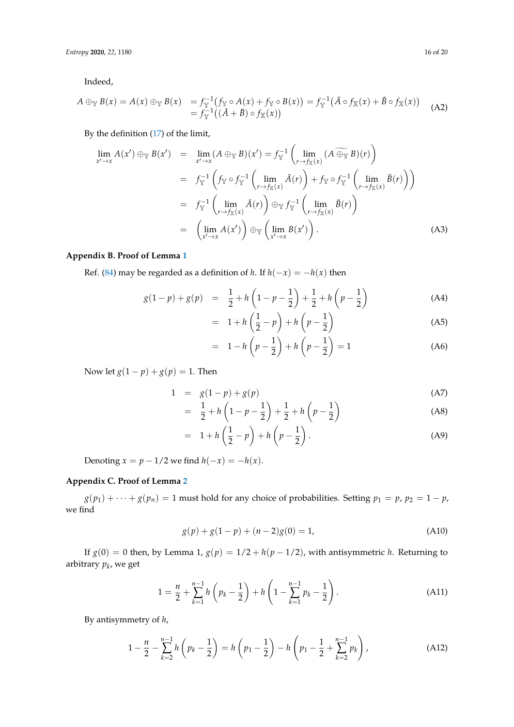Indeed,

$$
A \oplus_{\mathbb{Y}} B(x) = A(x) \oplus_{\mathbb{Y}} B(x) = f_{\mathbb{Y}}^{-1} (f_{\mathbb{Y}} \circ A(x) + f_{\mathbb{Y}} \circ B(x)) = f_{\mathbb{Y}}^{-1} (\tilde{A} \circ f_{\mathbb{X}}(x) + \tilde{B} \circ f_{\mathbb{X}}(x))
$$
  
=  $f_{\mathbb{Y}}^{-1} ((\tilde{A} + \tilde{B}) \circ f_{\mathbb{X}}(x))$  (A2)

By the definition [\(17\)](#page-2-1) of the limit,

$$
\lim_{x' \to x} A(x') \oplus_{\mathbb{Y}} B(x') = \lim_{x' \to x} (A \oplus_{\mathbb{Y}} B)(x') = f_{\mathbb{Y}}^{-1} \left( \lim_{r \to f_{\mathbb{X}}(x)} (A \oplus_{\mathbb{Y}} B)(r) \right)
$$
  
\n
$$
= f_{\mathbb{Y}}^{-1} \left( f_{\mathbb{Y}} \circ f_{\mathbb{Y}}^{-1} \left( \lim_{r \to f_{\mathbb{X}}(x)} \tilde{A}(r) \right) + f_{\mathbb{Y}} \circ f_{\mathbb{Y}}^{-1} \left( \lim_{r \to f_{\mathbb{X}}(x)} \tilde{B}(r) \right) \right)
$$
  
\n
$$
= f_{\mathbb{Y}}^{-1} \left( \lim_{r \to f_{\mathbb{X}}(x)} \tilde{A}(r) \right) \oplus_{\mathbb{Y}} f_{\mathbb{Y}}^{-1} \left( \lim_{r \to f_{\mathbb{X}}(x)} \tilde{B}(r) \right)
$$
  
\n
$$
= \left( \lim_{x' \to x} A(x') \right) \oplus_{\mathbb{Y}} \left( \lim_{x' \to x} B(x') \right). \tag{A3}
$$

# <span id="page-15-0"></span>**Appendix B. Proof of Lemma [1](#page-11-3)**

Ref. [\(84\)](#page-11-4) may be regarded as a definition of *h*. If  $h(-x) = -h(x)$  then

$$
g(1-p) + g(p) = \frac{1}{2} + h\left(1 - p - \frac{1}{2}\right) + \frac{1}{2} + h\left(p - \frac{1}{2}\right)
$$
(A4)

$$
= 1 + h\left(\frac{1}{2} - p\right) + h\left(p - \frac{1}{2}\right) \tag{A5}
$$

$$
= 1 - h\left(p - \frac{1}{2}\right) + h\left(p - \frac{1}{2}\right) = 1
$$
 (A6)

Now let  $g(1 - p) + g(p) = 1$ . Then

$$
1 = g(1-p) + g(p) \tag{A7}
$$

$$
= \frac{1}{2} + h\left(1 - p - \frac{1}{2}\right) + \frac{1}{2} + h\left(p - \frac{1}{2}\right) \tag{A8}
$$

$$
= 1 + h\left(\frac{1}{2} - p\right) + h\left(p - \frac{1}{2}\right). \tag{A9}
$$

Denoting  $x = p - \frac{1}{2}$  we find  $h(-x) = -h(x)$ .

# <span id="page-15-1"></span>**Appendix C. Proof of Lemma [2](#page-12-0)**

 $g(p_1) + \cdots + g(p_n) = 1$  must hold for any choice of probabilities. Setting  $p_1 = p$ ,  $p_2 = 1 - p$ , we find

<span id="page-15-3"></span>
$$
g(p) + g(1 - p) + (n - 2)g(0) = 1,
$$
\n(A10)

If *g*(0) = 0 then, by Lemma 1, *g*(*p*) =  $1/2 + h(p - 1/2)$ , with antisymmetric *h*. Returning to arbitrary *p<sup>k</sup>* , we get

$$
1 = \frac{n}{2} + \sum_{k=1}^{n-1} h\left(p_k - \frac{1}{2}\right) + h\left(1 - \sum_{k=1}^{n-1} p_k - \frac{1}{2}\right).
$$
 (A11)

By antisymmetry of *h*,

<span id="page-15-2"></span>
$$
1 - \frac{n}{2} - \sum_{k=2}^{n-1} h\left(p_k - \frac{1}{2}\right) = h\left(p_1 - \frac{1}{2}\right) - h\left(p_1 - \frac{1}{2} + \sum_{k=2}^{n-1} p_k\right),\tag{A12}
$$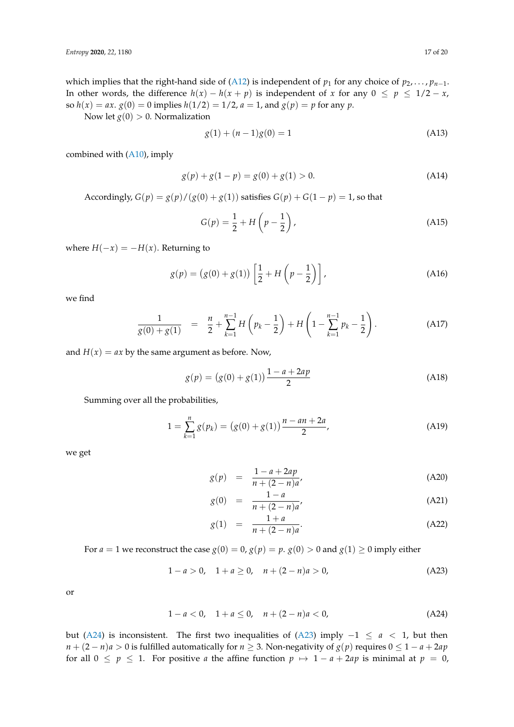which implies that the right-hand side of [\(A12\)](#page-15-2) is independent of  $p_1$  for any choice of  $p_2, \ldots, p_{n-1}$ . In other words, the difference  $h(x) - h(x + p)$  is independent of *x* for any  $0 \le p \le 1/2 - x$ , so  $h(x) = ax$ .  $g(0) = 0$  implies  $h(1/2) = 1/2$ ,  $a = 1$ , and  $g(p) = p$  for any  $p$ .

Now let  $g(0) > 0$ . Normalization

$$
g(1) + (n-1)g(0) = 1
$$
\n(A13)

combined with [\(A10\)](#page-15-3), imply

$$
g(p) + g(1 - p) = g(0) + g(1) > 0.
$$
 (A14)

Accordingly,  $G(p) = g(p)/(g(0) + g(1))$  satisfies  $G(p) + G(1 - p) = 1$ , so that

$$
G(p) = \frac{1}{2} + H\left(p - \frac{1}{2}\right),\tag{A15}
$$

where  $H(-x) = -H(x)$ . Returning to

$$
g(p) = (g(0) + g(1)) \left[ \frac{1}{2} + H\left(p - \frac{1}{2}\right) \right],
$$
 (A16)

we find

$$
\frac{1}{g(0)+g(1)} = \frac{n}{2} + \sum_{k=1}^{n-1} H\left(p_k - \frac{1}{2}\right) + H\left(1 - \sum_{k=1}^{n-1} p_k - \frac{1}{2}\right).
$$
 (A17)

and  $H(x) = ax$  by the same argument as before. Now,

$$
g(p) = (g(0) + g(1)) \frac{1 - a + 2ap}{2}
$$
 (A18)

Summing over all the probabilities,

$$
1 = \sum_{k=1}^{n} g(p_k) = (g(0) + g(1)) \frac{n - an + 2a}{2},
$$
 (A19)

we get

$$
g(p) = \frac{1 - a + 2ap}{n + (2 - n)a'}
$$
 (A20)

$$
g(0) = \frac{1-a}{n + (2-n)a'},
$$
 (A21)

$$
g(1) = \frac{1+a}{n+(2-n)a}.
$$
 (A22)

For *a* = 1 we reconstruct the case *g*(0) = 0, *g*(*p*) = *p*. *g*(0) > 0 and *g*(1)  $\ge$  0 imply either

<span id="page-16-1"></span>
$$
1 - a > 0, \quad 1 + a \ge 0, \quad n + (2 - n)a > 0,
$$
 (A23)

or

<span id="page-16-0"></span>
$$
1 - a < 0, \quad 1 + a \le 0, \quad n + (2 - n)a < 0,\tag{A24}
$$

but [\(A24\)](#page-16-0) is inconsistent. The first two inequalities of [\(A23\)](#page-16-1) imply −1 ≤ *a* < 1, but then *n* +  $(2 - n)a$  > 0 is fulfilled automatically for *n* ≥ 3. Non-negativity of *g*(*p*) requires  $0 ≤ 1 - a + 2ap$ for all  $0 \le p \le 1$ . For positive *a* the affine function  $p \mapsto 1 - a + 2ap$  is minimal at  $p = 0$ ,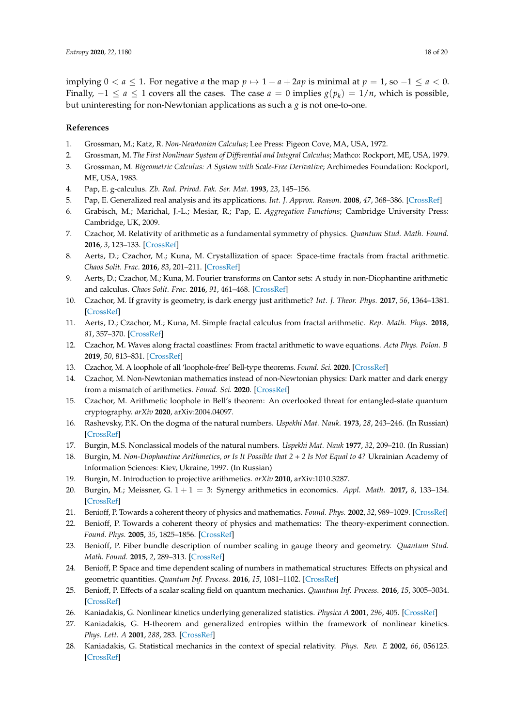implying  $0 < a \leq 1$ . For negative *a* the map  $p \mapsto 1 - a + 2ap$  is minimal at  $p = 1$ , so  $-1 \leq a < 0$ . Finally,  $-1 \le a \le 1$  covers all the cases. The case  $a = 0$  implies  $g(p_k) = 1/n$ , which is possible, but uninteresting for non-Newtonian applications as such a *g* is not one-to-one.

### **References**

- <span id="page-17-0"></span>1. Grossman, M.; Katz, R. *Non-Newtonian Calculus*; Lee Press: Pigeon Cove, MA, USA, 1972.
- 2. Grossman, M. *The First Nonlinear System of Differential and Integral Calculus*; Mathco: Rockport, ME, USA, 1979.
- <span id="page-17-1"></span>3. Grossman, M. *Bigeometric Calculus: A System with Scale-Free Derivative*; Archimedes Foundation: Rockport, ME, USA, 1983.
- <span id="page-17-2"></span>4. Pap, E. g-calculus. *Zb. Rad. Prirod. Fak. Ser. Mat.* **1993**, *23*, 145–156.
- 5. Pap, E. Generalized real analysis and its applications. *Int. J. Approx. Reason.* **2008**, *47*, 368–386. [\[CrossRef\]](http://dx.doi.org/10.1016/j.ijar.2007.05.015)
- <span id="page-17-3"></span>6. Grabisch, M.; Marichal, J.-L.; Mesiar, R.; Pap, E. *Aggregation Functions*; Cambridge University Press: Cambridge, UK, 2009.
- <span id="page-17-4"></span>7. Czachor, M. Relativity of arithmetic as a fundamental symmetry of physics. *Quantum Stud. Math. Found.* **2016**, *3*, 123–133. [\[CrossRef\]](http://dx.doi.org/10.1007/s40509-015-0056-4)
- 8. Aerts, D.; Czachor, M.; Kuna, M. Crystallization of space: Space-time fractals from fractal arithmetic. *Chaos Solit. Frac.* **2016**, *83*, 201–211. [\[CrossRef\]](http://dx.doi.org/10.1016/j.chaos.2015.12.004)
- 9. Aerts, D.; Czachor, M.; Kuna, M. Fourier transforms on Cantor sets: A study in non-Diophantine arithmetic and calculus. *Chaos Solit. Frac.* **2016**, *91*, 461–468. [\[CrossRef\]](http://dx.doi.org/10.1016/j.chaos.2016.07.008)
- 10. Czachor, M. If gravity is geometry, is dark energy just arithmetic? *Int. J. Theor. Phys.* **2017**, *56*, 1364–1381. [\[CrossRef\]](http://dx.doi.org/10.1007/s10773-017-3278-x)
- 11. Aerts, D.; Czachor, M.; Kuna, M. Simple fractal calculus from fractal arithmetic. *Rep. Math. Phys.* **2018**, *81*, 357–370. [\[CrossRef\]](http://dx.doi.org/10.1016/S0034-4877(18)30053-3)
- <span id="page-17-13"></span>12. Czachor, M. Waves along fractal coastlines: From fractal arithmetic to wave equations. *Acta Phys. Polon. B* **2019**, *50*, 813–831. [\[CrossRef\]](http://dx.doi.org/10.5506/APhysPolB.50.813)
- <span id="page-17-12"></span>13. Czachor, M. A loophole of all 'loophole-free' Bell-type theorems. *Found. Sci.* **2020**. [\[CrossRef\]](http://dx.doi.org/10.1007/s10699-020-09666-0)
- <span id="page-17-14"></span>14. Czachor, M. Non-Newtonian mathematics instead of non-Newtonian physics: Dark matter and dark energy from a mismatch of arithmetics. *Found. Sci.* **2020**. [\[CrossRef\]](http://dx.doi.org/10.1007/s10699-020-09687-9)
- <span id="page-17-5"></span>15. Czachor, M. Arithmetic loophole in Bell's theorem: An overlooked threat for entangled-state quantum cryptography. *arXiv* **2020**, arXiv:2004.04097.
- <span id="page-17-6"></span>16. Rashevsky, P.K. On the dogma of the natural numbers. *Uspekhi Mat. Nauk.* **1973**, *28*, 243–246. (In Russian) [\[CrossRef\]](http://dx.doi.org/10.1070/RM1973v028n04ABEH001602)
- <span id="page-17-7"></span>17. Burgin, M.S. Nonclassical models of the natural numbers. *Uspekhi Mat. Nauk* **1977**, *32*, 209–210. (In Russian)
- 18. Burgin, M. *Non-Diophantine Arithmetics, or Is It Possible that 2 + 2 Is Not Equal to 4?* Ukrainian Academy of Information Sciences: Kiev, Ukraine, 1997. (In Russian)
- 19. Burgin, M. Introduction to projective arithmetics. *arXiv* **2010**, arXiv:1010.3287.
- <span id="page-17-8"></span>20. Burgin, M.; Meissner, G. 1 + 1 = 3: Synergy arithmetics in economics. *Appl. Math.* **2017,** *8*, 133–134. [\[CrossRef\]](http://dx.doi.org/10.4236/am.2017.82011)
- <span id="page-17-9"></span>21. Benioff, P. Towards a coherent theory of physics and mathematics. *Found. Phys.* **2002**, *32*, 989–1029. [\[CrossRef\]](http://dx.doi.org/10.1023/A:1016561108807)
- 22. Benioff, P. Towards a coherent theory of physics and mathematics: The theory-experiment connection. *Found. Phys.* **2005**, *35*, 1825–1856. [\[CrossRef\]](http://dx.doi.org/10.1007/s10701-005-7351-6)
- 23. Benioff, P. Fiber bundle description of number scaling in gauge theory and geometry. *Quantum Stud. Math. Found.* **2015**, *2*, 289–313. [\[CrossRef\]](http://dx.doi.org/10.1007/s40509-015-0049-3)
- 24. Benioff, P. Space and time dependent scaling of numbers in mathematical structures: Effects on physical and geometric quantities. *Quantum Inf. Process.* **2016**, *15*, 1081–1102. [\[CrossRef\]](http://dx.doi.org/10.1007/s11128-015-1084-z)
- <span id="page-17-10"></span>25. Benioff, P. Effects of a scalar scaling field on quantum mechanics. *Quantum Inf. Process.* **2016**, *15*, 3005–3034. [\[CrossRef\]](http://dx.doi.org/10.1007/s11128-016-1312-1)
- <span id="page-17-11"></span>26. Kaniadakis, G. Nonlinear kinetics underlying generalized statistics. *Physica A* **2001**, *296*, 405. [\[CrossRef\]](http://dx.doi.org/10.1016/S0378-4371(01)00184-4)
- 27. Kaniadakis, G. H-theorem and generalized entropies within the framework of nonlinear kinetics. *Phys. Lett. A* **2001**, *288*, 283. [\[CrossRef\]](http://dx.doi.org/10.1016/S0375-9601(01)00543-6)
- 28. Kaniadakis, G. Statistical mechanics in the context of special relativity. *Phys. Rev. E* **2002**, *66*, 056125. [\[CrossRef\]](http://dx.doi.org/10.1103/PhysRevE.66.056125)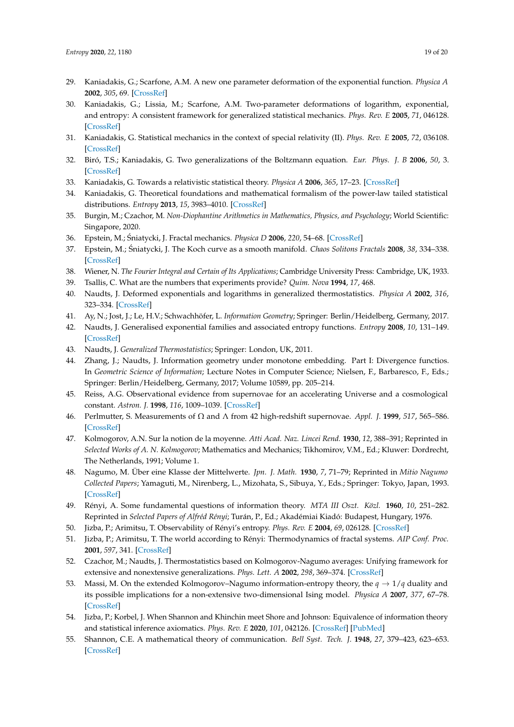- 29. Kaniadakis, G.; Scarfone, A.M. A new one parameter deformation of the exponential function. *Physica A* **2002**, *305*, 69. [\[CrossRef\]](http://dx.doi.org/10.1016/S0378-4371(01)00642-2)
- 30. Kaniadakis, G.; Lissia, M.; Scarfone, A.M. Two-parameter deformations of logarithm, exponential, and entropy: A consistent framework for generalized statistical mechanics. *Phys. Rev. E* **2005**, *71*, 046128. [\[CrossRef\]](http://dx.doi.org/10.1103/PhysRevE.71.046128)
- 31. Kaniadakis, G. Statistical mechanics in the context of special relativity (II). *Phys. Rev. E* **2005**, *72*, 036108. [\[CrossRef\]](http://dx.doi.org/10.1103/PhysRevE.72.036108)
- 32. Biró, T.S.; Kaniadakis, G. Two generalizations of the Boltzmann equation. *Eur. Phys. J. B* **2006**, *50*, 3. [\[CrossRef\]](http://dx.doi.org/10.1140/epjb/e2006-00112-3)
- 33. Kaniadakis, G. Towards a relativistic statistical theory. *Physica A* **2006**, *365*, 17–23. [\[CrossRef\]](http://dx.doi.org/10.1016/j.physa.2006.01.016)
- <span id="page-18-0"></span>34. Kaniadakis, G. Theoretical foundations and mathematical formalism of the power-law tailed statistical distributions. *Entropy* **2013**, *15*, 3983–4010. [\[CrossRef\]](http://dx.doi.org/10.3390/e15103983)
- <span id="page-18-1"></span>35. Burgin, M.; Czachor, M. *Non-Diophantine Arithmetics in Mathematics, Physics, and Psychology*; World Scientific: Singapore, 2020.
- <span id="page-18-2"></span>36. Epstein, M.; Sniatycki, J. Fractal mechanics. ´ *Physica D* **2006**, *220*, 54–68. [\[CrossRef\]](http://dx.doi.org/10.1016/j.physd.2006.06.008)
- <span id="page-18-3"></span>37. Epstein, M.; Śniatycki, J. The Koch curve as a smooth manifold. *Chaos Solitons Fractals* 2008, 38, 334–338. [\[CrossRef\]](http://dx.doi.org/10.1016/j.chaos.2006.11.036)
- <span id="page-18-4"></span>38. Wiener, N. *The Fourier Integral and Certain of Its Applications*; Cambridge University Press: Cambridge, UK, 1933.
- <span id="page-18-5"></span>39. Tsallis, C. What are the numbers that experiments provide? *Quim. Nova* **1994**, *17*, 468.
- 40. Naudts, J. Deformed exponentials and logarithms in generalized thermostatistics. *Physica A* **2002**, *316*, 323–334. [\[CrossRef\]](http://dx.doi.org/10.1016/S0378-4371(02)01018-X)
- 41. Ay, N.; Jost, J.; Le, H.V.; Schwachhöfer, L. *Information Geometry*; Springer: Berlin/Heidelberg, Germany, 2017.
- 42. Naudts, J. Generalised exponential families and associated entropy functions. *Entropy* **2008**, *10*, 131–149. [\[CrossRef\]](http://dx.doi.org/10.3390/entropy-e10030131)
- <span id="page-18-6"></span>43. Naudts, J. *Generalized Thermostatistics*; Springer: London, UK, 2011.
- <span id="page-18-7"></span>44. Zhang, J.; Naudts, J. Information geometry under monotone embedding. Part I: Divergence functios. In *Geometric Science of Information*; Lecture Notes in Computer Science; Nielsen, F., Barbaresco, F., Eds.; Springer: Berlin/Heidelberg, Germany, 2017; Volume 10589, pp. 205–214.
- <span id="page-18-8"></span>45. Reiss, A.G. Observational evidence from supernovae for an accelerating Universe and a cosmological constant. *Astron. J.* **1998**, *116*, 1009–1039. [\[CrossRef\]](http://dx.doi.org/10.1086/300499)
- <span id="page-18-9"></span>46. Perlmutter, S. Measurements of Ω and Λ from 42 high-redshift supernovae. *Appl. J.* **1999**, *517*, 565–586. [\[CrossRef\]](http://dx.doi.org/10.1086/307221)
- <span id="page-18-10"></span>47. Kolmogorov, A.N. Sur la notion de la moyenne. *Atti Acad. Naz. Lincei Rend.* **1930**, *12*, 388–391; Reprinted in *Selected Works of A. N. Kolmogorov*; Mathematics and Mechanics; Tikhomirov, V.M., Ed.; Kluwer: Dordrecht, The Netherlands, 1991; Volume 1.
- 48. Nagumo, M. Über eine Klasse der Mittelwerte. *Jpn. J. Math.* **1930**, *7*, 71–79; Reprinted in *Mitio Nagumo Collected Papers*; Yamaguti, M., Nirenberg, L., Mizohata, S., Sibuya, Y., Eds.; Springer: Tokyo, Japan, 1993. [\[CrossRef\]](http://dx.doi.org/10.4099/jjm1924.7.0_71)
- <span id="page-18-12"></span>49. Rényi, A. Some fundamental questions of information theory. *MTA III Oszt. Közl.* **1960**, *10*, 251–282. Reprinted in *Selected Papers of Alfréd Rényi*; Turán, P., Ed.; Akadémiai Kiadó: Budapest, Hungary, 1976.
- 50. Jizba, P.; Arimitsu, T. Observability of Rényi's entropy. *Phys. Rev. E* **2004**, *69*, 026128. [\[CrossRef\]](http://dx.doi.org/10.1103/PhysRevE.69.026128)
- 51. Jizba, P.; Arimitsu, T. The world according to Rényi: Thermodynamics of fractal systems. *AIP Conf. Proc.* **2001**, *597*, 341. [\[CrossRef\]](http://dx.doi.org/10.1016/j.aop.2004.01.002)
- 52. Czachor, M.; Naudts, J. Thermostatistics based on Kolmogorov-Nagumo averages: Unifying framework for extensive and nonextensive generalizations. *Phys. Lett. A* **2002**, *298*, 369–374. [\[CrossRef\]](http://dx.doi.org/10.1016/S0375-9601(02)00540-6)
- 53. Massi, M. On the extended Kolmogorov–Nagumo information-entropy theory, the  $q \to 1/q$  duality and its possible implications for a non-extensive two-dimensional Ising model. *Physica A* **2007**, *377*, 67–78. [\[CrossRef\]](http://dx.doi.org/10.1016/j.physa.2006.11.019)
- <span id="page-18-11"></span>54. Jizba, P.; Korbel, J. When Shannon and Khinchin meet Shore and Johnson: Equivalence of information theory and statistical inference axiomatics. *Phys. Rev. E* **2020**, *101*, 042126. [\[CrossRef\]](http://dx.doi.org/10.1103/PhysRevE.101.042126) [\[PubMed\]](http://www.ncbi.nlm.nih.gov/pubmed/32422799)
- <span id="page-18-13"></span>55. Shannon, C.E. A mathematical theory of communication. *Bell Syst. Tech. J.* **1948**, *27*, 379–423, 623–653. [\[CrossRef\]](http://dx.doi.org/10.1002/j.1538-7305.1948.tb01338.x)